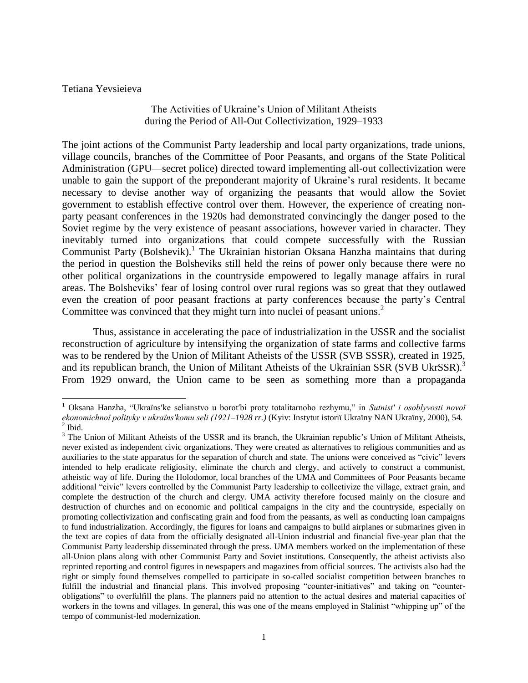Tetiana Yevsieieva

 $\overline{a}$ 

## The Activities of Ukraine's Union of Militant Atheists during the Period of All-Out Collectivization, 1929–1933

The joint actions of the Communist Party leadership and local party organizations, trade unions, village councils, branches of the Committee of Poor Peasants, and organs of the State Political Administration (GPU—secret police) directed toward implementing all-out collectivization were unable to gain the support of the preponderant majority of Ukraine's rural residents. It became necessary to devise another way of organizing the peasants that would allow the Soviet government to establish effective control over them. However, the experience of creating nonparty peasant conferences in the 1920s had demonstrated convincingly the danger posed to the Soviet regime by the very existence of peasant associations, however varied in character. They inevitably turned into organizations that could compete successfully with the Russian Communist Party (Bolshevik).<sup>1</sup> The Ukrainian historian Oksana Hanzha maintains that during the period in question the Bolsheviks still held the reins of power only because there were no other political organizations in the countryside empowered to legally manage affairs in rural areas. The Bolsheviks' fear of losing control over rural regions was so great that they outlawed even the creation of poor peasant fractions at party conferences because the party's Central Committee was convinced that they might turn into nuclei of peasant unions.<sup>2</sup>

Thus, assistance in accelerating the pace of industrialization in the USSR and the socialist reconstruction of agriculture by intensifying the organization of state farms and collective farms was to be rendered by the Union of Militant Atheists of the USSR (SVB SSSR), created in 1925, and its republican branch, the Union of Militant Atheists of the Ukrainian SSR (SVB UkrSSR).<sup>3</sup> From 1929 onward, the Union came to be seen as something more than a propaganda

<sup>1</sup> Oksana Hanzha, "Ukraïns′ke selianstvo u borot′bi proty totalitarnoho rezhymu," in *Sutnist′ i osoblyvosti novoï ekonomichnoï polityky v ukraïns′komu seli (1921–1928 rr.)* (Kyiv: Instytut istoriï Ukraïny NAN Ukraïny, 2000), 54.  $<sup>2</sup>$  Ibid.</sup>

<sup>&</sup>lt;sup>3</sup> The Union of Militant Atheists of the USSR and its branch, the Ukrainian republic's Union of Militant Atheists, never existed as independent civic organizations. They were created as alternatives to religious communities and as auxiliaries to the state apparatus for the separation of church and state. The unions were conceived as "civic" levers intended to help eradicate religiosity, eliminate the church and clergy, and actively to construct a communist, atheistic way of life. During the Holodomor, local branches of the UMA and Committees of Poor Peasants became additional "civic" levers controlled by the Communist Party leadership to collectivize the village, extract grain, and complete the destruction of the church and clergy. UMA activity therefore focused mainly on the closure and destruction of churches and on economic and political campaigns in the city and the countryside, especially on promoting collectivization and confiscating grain and food from the peasants, as well as conducting loan campaigns to fund industrialization. Accordingly, the figures for loans and campaigns to build airplanes or submarines given in the text are copies of data from the officially designated all-Union industrial and financial five-year plan that the Communist Party leadership disseminated through the press. UMA members worked on the implementation of these all-Union plans along with other Communist Party and Soviet institutions. Consequently, the atheist activists also reprinted reporting and control figures in newspapers and magazines from official sources. The activists also had the right or simply found themselves compelled to participate in so-called socialist competition between branches to fulfill the industrial and financial plans. This involved proposing "counter-initiatives" and taking on "counterobligations" to overfulfill the plans. The planners paid no attention to the actual desires and material capacities of workers in the towns and villages. In general, this was one of the means employed in Stalinist "whipping up" of the tempo of communist-led modernization.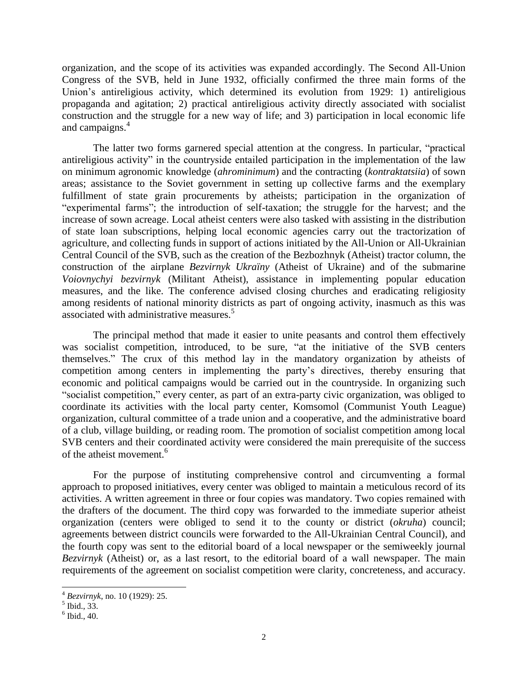organization, and the scope of its activities was expanded accordingly. The Second All-Union Congress of the SVB, held in June 1932, officially confirmed the three main forms of the Union's antireligious activity, which determined its evolution from 1929: 1) antireligious propaganda and agitation; 2) practical antireligious activity directly associated with socialist construction and the struggle for a new way of life; and 3) participation in local economic life and campaigns. 4

The latter two forms garnered special attention at the congress. In particular, "practical antireligious activity" in the countryside entailed participation in the implementation of the law on minimum agronomic knowledge (*ahrominimum*) and the contracting (*kontraktatsiia*) of sown areas; assistance to the Soviet government in setting up collective farms and the exemplary fulfillment of state grain procurements by atheists; participation in the organization of "experimental farms"; the introduction of self-taxation; the struggle for the harvest; and the increase of sown acreage. Local atheist centers were also tasked with assisting in the distribution of state loan subscriptions, helping local economic agencies carry out the tractorization of agriculture, and collecting funds in support of actions initiated by the All-Union or All-Ukrainian Central Council of the SVB, such as the creation of the Bezbozhnyk (Atheist) tractor column, the construction of the airplane *Bezvirnyk Ukraïny* (Atheist of Ukraine) and of the submarine *Voiovnychyi bezvirnyk* (Militant Atheist), assistance in implementing popular education measures, and the like. The conference advised closing churches and eradicating religiosity among residents of national minority districts as part of ongoing activity, inasmuch as this was associated with administrative measures.<sup>5</sup>

The principal method that made it easier to unite peasants and control them effectively was socialist competition, introduced, to be sure, "at the initiative of the SVB centers themselves." The crux of this method lay in the mandatory organization by atheists of competition among centers in implementing the party's directives, thereby ensuring that economic and political campaigns would be carried out in the countryside. In organizing such "socialist competition," every center, as part of an extra-party civic organization, was obliged to coordinate its activities with the local party center, Komsomol (Communist Youth League) organization, cultural committee of a trade union and a cooperative, and the administrative board of a club, village building, or reading room. The promotion of socialist competition among local SVB centers and their coordinated activity were considered the main prerequisite of the success of the atheist movement.<sup>6</sup>

For the purpose of instituting comprehensive control and circumventing a formal approach to proposed initiatives, every center was obliged to maintain a meticulous record of its activities. A written agreement in three or four copies was mandatory. Two copies remained with the drafters of the document. The third copy was forwarded to the immediate superior atheist organization (centers were obliged to send it to the county or district (*okruha*) council; agreements between district councils were forwarded to the All-Ukrainian Central Council), and the fourth copy was sent to the editorial board of a local newspaper or the semiweekly journal *Bezvirnyk* (Atheist) or, as a last resort, to the editorial board of a wall newspaper. The main requirements of the agreement on socialist competition were clarity, concreteness, and accuracy.

<sup>4</sup> *Bezvirnyk*, no. 10 (1929): 25.

<sup>5</sup> Ibid., 33.

 $<sup>6</sup>$  Ibid., 40.</sup>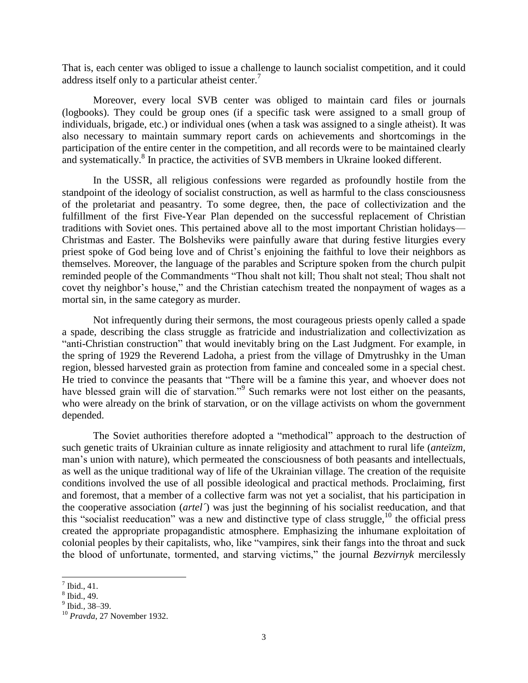That is, each center was obliged to issue a challenge to launch socialist competition, and it could address itself only to a particular atheist center.<sup>7</sup>

Moreover, every local SVB center was obliged to maintain card files or journals (logbooks). They could be group ones (if a specific task were assigned to a small group of individuals, brigade, etc.) or individual ones (when a task was assigned to a single atheist). It was also necessary to maintain summary report cards on achievements and shortcomings in the participation of the entire center in the competition, and all records were to be maintained clearly and systematically.<sup>8</sup> In practice, the activities of SVB members in Ukraine looked different.

In the USSR, all religious confessions were regarded as profoundly hostile from the standpoint of the ideology of socialist construction, as well as harmful to the class consciousness of the proletariat and peasantry. To some degree, then, the pace of collectivization and the fulfillment of the first Five-Year Plan depended on the successful replacement of Christian traditions with Soviet ones. This pertained above all to the most important Christian holidays— Christmas and Easter. The Bolsheviks were painfully aware that during festive liturgies every priest spoke of God being love and of Christ's enjoining the faithful to love their neighbors as themselves. Moreover, the language of the parables and Scripture spoken from the church pulpit reminded people of the Commandments "Thou shalt not kill; Thou shalt not steal; Thou shalt not covet thy neighbor's house," and the Christian catechism treated the nonpayment of wages as a mortal sin, in the same category as murder.

Not infrequently during their sermons, the most courageous priests openly called a spade a spade, describing the class struggle as fratricide and industrialization and collectivization as "anti-Christian construction" that would inevitably bring on the Last Judgment. For example, in the spring of 1929 the Reverend Ladoha, a priest from the village of Dmytrushky in the Uman region, blessed harvested grain as protection from famine and concealed some in a special chest. He tried to convince the peasants that "There will be a famine this year, and whoever does not have blessed grain will die of starvation."<sup>9</sup> Such remarks were not lost either on the peasants, who were already on the brink of starvation, or on the village activists on whom the government depended.

The Soviet authorities therefore adopted a "methodical" approach to the destruction of such genetic traits of Ukrainian culture as innate religiosity and attachment to rural life (*anteïzm*, man's union with nature), which permeated the consciousness of both peasants and intellectuals, as well as the unique traditional way of life of the Ukrainian village. The creation of the requisite conditions involved the use of all possible ideological and practical methods. Proclaiming, first and foremost, that a member of a collective farm was not yet a socialist, that his participation in the cooperative association (*artel´*) was just the beginning of his socialist reeducation, and that this "socialist reeducation" was a new and distinctive type of class struggle, $^{10}$  the official press created the appropriate propagandistic atmosphere. Emphasizing the inhumane exploitation of colonial peoples by their capitalists, who, like "vampires, sink their fangs into the throat and suck the blood of unfortunate, tormented, and starving victims," the journal *Bezvirnyk* mercilessly

 $<sup>7</sup>$  Ibid., 41.</sup>

<sup>8</sup> Ibid., 49.

<sup>&</sup>lt;sup>9</sup> Ibid., 38–39.

<sup>10</sup> *Pravda*, 27 November 1932.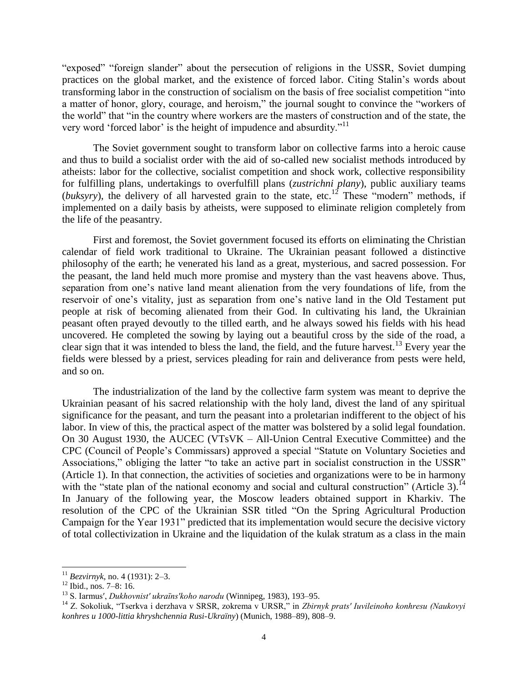"exposed" "foreign slander" about the persecution of religions in the USSR, Soviet dumping practices on the global market, and the existence of forced labor. Citing Stalin's words about transforming labor in the construction of socialism on the basis of free socialist competition "into a matter of honor, glory, courage, and heroism," the journal sought to convince the "workers of the world" that "in the country where workers are the masters of construction and of the state, the very word 'forced labor' is the height of impudence and absurdity."<sup>11</sup>

The Soviet government sought to transform labor on collective farms into a heroic cause and thus to build a socialist order with the aid of so-called new socialist methods introduced by atheists: labor for the collective, socialist competition and shock work, collective responsibility for fulfilling plans, undertakings to overfulfill plans (*zustrichni plany*), public auxiliary teams (*buksyry*), the delivery of all harvested grain to the state, etc.<sup>12</sup> These "modern" methods, if implemented on a daily basis by atheists, were supposed to eliminate religion completely from the life of the peasantry.

First and foremost, the Soviet government focused its efforts on eliminating the Christian calendar of field work traditional to Ukraine. The Ukrainian peasant followed a distinctive philosophy of the earth; he venerated his land as a great, mysterious, and sacred possession. For the peasant, the land held much more promise and mystery than the vast heavens above. Thus, separation from one's native land meant alienation from the very foundations of life, from the reservoir of one's vitality, just as separation from one's native land in the Old Testament put people at risk of becoming alienated from their God. In cultivating his land, the Ukrainian peasant often prayed devoutly to the tilled earth, and he always sowed his fields with his head uncovered. He completed the sowing by laying out a beautiful cross by the side of the road, a clear sign that it was intended to bless the land, the field, and the future harvest.<sup>13</sup> Every year the fields were blessed by a priest, services pleading for rain and deliverance from pests were held, and so on.

The industrialization of the land by the collective farm system was meant to deprive the Ukrainian peasant of his sacred relationship with the holy land, divest the land of any spiritual significance for the peasant, and turn the peasant into a proletarian indifferent to the object of his labor. In view of this, the practical aspect of the matter was bolstered by a solid legal foundation. On 30 August 1930, the AUCEC (VTsVK – All-Union Central Executive Committee) and the CPC (Council of People's Commissars) approved a special "Statute on Voluntary Societies and Associations," obliging the latter "to take an active part in socialist construction in the USSR" (Article 1). In that connection, the activities of societies and organizations were to be in harmony with the "state plan of the national economy and social and cultural construction" (Article 3).<sup>14</sup> In January of the following year, the Moscow leaders obtained support in Kharkiv. The resolution of the CPC of the Ukrainian SSR titled "On the Spring Agricultural Production Campaign for the Year 1931" predicted that its implementation would secure the decisive victory of total collectivization in Ukraine and the liquidation of the kulak stratum as a class in the main

<sup>11</sup> *Bezvirnyk*, no. 4 (1931): 2–3.

 $12$  Ibid., nos. 7–8: 16.

<sup>13</sup> S. Iarmus′, *Dukhovnist′ ukraïns′koho narodu* (Winnipeg, 1983), 193–95.

<sup>14</sup> Z. Sokoliuk, "Tserkva i derzhava v SRSR, zokrema v URSR," in *Zbirnyk prats′ Iuvileinoho konhresu (Naukovyi konhres u 1000-littia khryshchennia Rusi-Ukraïny*) (Munich, 1988–89), 808–9.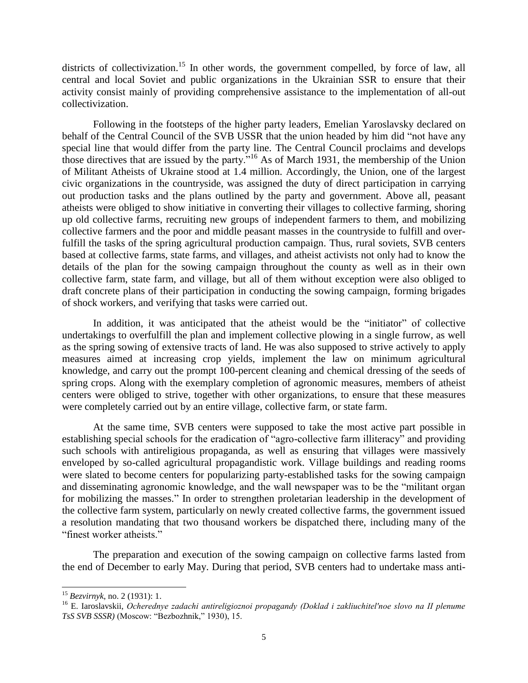districts of collectivization.<sup>15</sup> In other words, the government compelled, by force of law, all central and local Soviet and public organizations in the Ukrainian SSR to ensure that their activity consist mainly of providing comprehensive assistance to the implementation of all-out collectivization.

Following in the footsteps of the higher party leaders, Emelian Yaroslavsky declared on behalf of the Central Council of the SVB USSR that the union headed by him did "not have any special line that would differ from the party line. The Central Council proclaims and develops those directives that are issued by the party."<sup>16</sup> As of March 1931, the membership of the Union of Militant Atheists of Ukraine stood at 1.4 million. Accordingly, the Union, one of the largest civic organizations in the countryside, was assigned the duty of direct participation in carrying out production tasks and the plans outlined by the party and government. Above all, peasant atheists were obliged to show initiative in converting their villages to collective farming, shoring up old collective farms, recruiting new groups of independent farmers to them, and mobilizing collective farmers and the poor and middle peasant masses in the countryside to fulfill and overfulfill the tasks of the spring agricultural production campaign. Thus, rural soviets, SVB centers based at collective farms, state farms, and villages, and atheist activists not only had to know the details of the plan for the sowing campaign throughout the county as well as in their own collective farm, state farm, and village, but all of them without exception were also obliged to draft concrete plans of their participation in conducting the sowing campaign, forming brigades of shock workers, and verifying that tasks were carried out.

In addition, it was anticipated that the atheist would be the "initiator" of collective undertakings to overfulfill the plan and implement collective plowing in a single furrow, as well as the spring sowing of extensive tracts of land. He was also supposed to strive actively to apply measures aimed at increasing crop yields, implement the law on minimum agricultural knowledge, and carry out the prompt 100-percent cleaning and chemical dressing of the seeds of spring crops. Along with the exemplary completion of agronomic measures, members of atheist centers were obliged to strive, together with other organizations, to ensure that these measures were completely carried out by an entire village, collective farm, or state farm.

At the same time, SVB centers were supposed to take the most active part possible in establishing special schools for the eradication of "agro-collective farm illiteracy" and providing such schools with antireligious propaganda, as well as ensuring that villages were massively enveloped by so-called agricultural propagandistic work. Village buildings and reading rooms were slated to become centers for popularizing party-established tasks for the sowing campaign and disseminating agronomic knowledge, and the wall newspaper was to be the "militant organ for mobilizing the masses." In order to strengthen proletarian leadership in the development of the collective farm system, particularly on newly created collective farms, the government issued a resolution mandating that two thousand workers be dispatched there, including many of the "finest worker atheists."

The preparation and execution of the sowing campaign on collective farms lasted from the end of December to early May. During that period, SVB centers had to undertake mass anti-

<sup>15</sup> *Bezvirnyk*, no. 2 (1931): 1.

<sup>16</sup> E. Iaroslavskii, *Ocherednye zadachi antireligioznoi propagandy (Doklad i zakliuchitel′noe slovo na II plenume TsS SVB SSSR)* (Moscow: "Bezbozhnik," 1930), 15.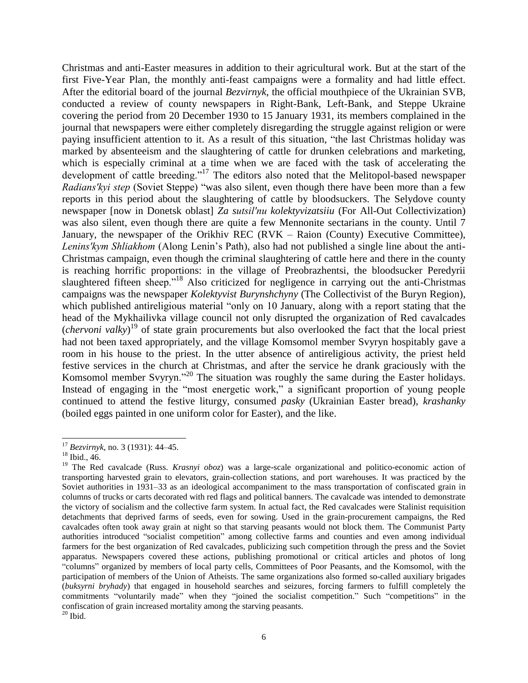Christmas and anti-Easter measures in addition to their agricultural work. But at the start of the first Five-Year Plan, the monthly anti-feast campaigns were a formality and had little effect. After the editorial board of the journal *Bezvirnyk*, the official mouthpiece of the Ukrainian SVB, conducted a review of county newspapers in Right-Bank, Left-Bank, and Steppe Ukraine covering the period from 20 December 1930 to 15 January 1931, its members complained in the journal that newspapers were either completely disregarding the struggle against religion or were paying insufficient attention to it. As a result of this situation, "the last Christmas holiday was marked by absenteeism and the slaughtering of cattle for drunken celebrations and marketing, which is especially criminal at a time when we are faced with the task of accelerating the development of cattle breeding."<sup>17</sup> The editors also noted that the Melitopol-based newspaper *Radians′kyi step* (Soviet Steppe) "was also silent, even though there have been more than a few reports in this period about the slaughtering of cattle by bloodsuckers. The Selydove county newspaper [now in Donetsk oblast] *Za sutsil′nu kolektyvizatsiiu* (For All-Out Collectivization) was also silent, even though there are quite a few Mennonite sectarians in the county. Until 7 January, the newspaper of the Orikhiv REC (RVK – Raion (County) Executive Committee), *Lenins′kym Shliakhom* (Along Lenin's Path), also had not published a single line about the anti-Christmas campaign, even though the criminal slaughtering of cattle here and there in the county is reaching horrific proportions: in the village of Preobrazhentsi, the bloodsucker Peredyrii slaughtered fifteen sheep."<sup>18</sup> Also criticized for negligence in carrying out the anti-Christmas campaigns was the newspaper *Kolektyvist Burynshchyny* (The Collectivist of the Buryn Region), which published antireligious material "only on 10 January, along with a report stating that the head of the Mykhailivka village council not only disrupted the organization of Red cavalcades (*chervoni valky*) <sup>19</sup> of state grain procurements but also overlooked the fact that the local priest had not been taxed appropriately, and the village Komsomol member Svyryn hospitably gave a room in his house to the priest. In the utter absence of antireligious activity, the priest held festive services in the church at Christmas, and after the service he drank graciously with the Komsomol member Svyryn."<sup>20</sup> The situation was roughly the same during the Easter holidays. Instead of engaging in the "most energetic work," a significant proportion of young people continued to attend the festive liturgy, consumed *pasky* (Ukrainian Easter bread), *krashanky* (boiled eggs painted in one uniform color for Easter), and the like.

<sup>17</sup> *Bezvirnyk*, no. 3 (1931): 44–45.

<sup>18</sup> Ibid., 46.

<sup>&</sup>lt;sup>19</sup> The Red cavalcade (Russ. *Krasnyi oboz*) was a large-scale organizational and politico-economic action of transporting harvested grain to elevators, grain-collection stations, and port warehouses. It was practiced by the Soviet authorities in 1931–33 as an ideological accompaniment to the mass transportation of confiscated grain in columns of trucks or carts decorated with red flags and political banners. The cavalcade was intended to demonstrate the victory of socialism and the collective farm system. In actual fact, the Red cavalcades were Stalinist requisition detachments that deprived farms of seeds, even for sowing. Used in the grain-procurement campaigns, the Red cavalcades often took away grain at night so that starving peasants would not block them. The Communist Party authorities introduced "socialist competition" among collective farms and counties and even among individual farmers for the best organization of Red cavalcades, publicizing such competition through the press and the Soviet apparatus. Newspapers covered these actions, publishing promotional or critical articles and photos of long "columns" organized by members of local party cells, Committees of Poor Peasants, and the Komsomol, with the participation of members of the Union of Atheists. The same organizations also formed so-called auxiliary brigades (*buksyrni bryhady*) that engaged in household searches and seizures, forcing farmers to fulfill completely the commitments "voluntarily made" when they "joined the socialist competition." Such "competitions" in the confiscation of grain increased mortality among the starving peasants.  $20$  Ibid.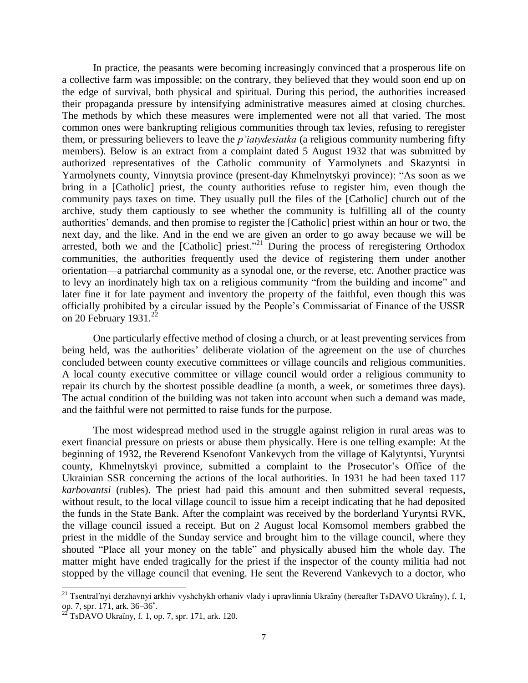In practice, the peasants were becoming increasingly convinced that a prosperous life on a collective farm was impossible; on the contrary, they believed that they would soon end up on the edge of survival, both physical and spiritual. During this period, the authorities increased their propaganda pressure by intensifying administrative measures aimed at closing churches. The methods by which these measures were implemented were not all that varied. The most common ones were bankrupting religious communities through tax levies, refusing to reregister them, or pressuring believers to leave the *p'iatydesiatka* (a religious community numbering fifty members). Below is an extract from a complaint dated 5 August 1932 that was submitted by authorized representatives of the Catholic community of Yarmolynets and Skazyntsi in Yarmolynets county, Vinnytsia province (present-day Khmelnytskyi province): "As soon as we bring in a [Catholic] priest, the county authorities refuse to register him, even though the community pays taxes on time. They usually pull the files of the [Catholic] church out of the archive, study them captiously to see whether the community is fulfilling all of the county authorities' demands, and then promise to register the [Catholic] priest within an hour or two, the next day, and the like. And in the end we are given an order to go away because we will be arrested, both we and the [Catholic] priest."<sup>21</sup> During the process of reregistering Orthodox communities, the authorities frequently used the device of registering them under another orientation—a patriarchal community as a synodal one, or the reverse, etc. Another practice was to levy an inordinately high tax on a religious community "from the building and income" and later fine it for late payment and inventory the property of the faithful, even though this was officially prohibited by a circular issued by the People's Commissariat of Finance of the USSR on 20 February 1931. $^{22}$ 

One particularly effective method of closing a church, or at least preventing services from being held, was the authorities' deliberate violation of the agreement on the use of churches concluded between county executive committees or village councils and religious communities. A local county executive committee or village council would order a religious community to repair its church by the shortest possible deadline (a month, a week, or sometimes three days). The actual condition of the building was not taken into account when such a demand was made, and the faithful were not permitted to raise funds for the purpose.

The most widespread method used in the struggle against religion in rural areas was to exert financial pressure on priests or abuse them physically. Here is one telling example: At the beginning of 1932, the Reverend Ksenofont Vankevych from the village of Kalytyntsi, Yuryntsi county, Khmelnytskyi province, submitted a complaint to the Prosecutor's Office of the Ukrainian SSR concerning the actions of the local authorities. In 1931 he had been taxed 117 *karbovantsi* (rubles). The priest had paid this amount and then submitted several requests, without result, to the local village council to issue him a receipt indicating that he had deposited the funds in the State Bank. After the complaint was received by the borderland Yuryntsi RVK, the village council issued a receipt. But on 2 August local Komsomol members grabbed the priest in the middle of the Sunday service and brought him to the village council, where they shouted "Place all your money on the table" and physically abused him the whole day. The matter might have ended tragically for the priest if the inspector of the county militia had not stopped by the village council that evening. He sent the Reverend Vankevych to a doctor, who

<sup>&</sup>lt;sup>21</sup> Tsentral'nyi derzhavnyi arkhiv vyshchykh orhaniv vlady i upravlinnia Ukraïny (hereafter TsDAVO Ukraïny), f. 1, op. 7, spr. 171, ark.  $36-36^{\circ}$ .

 $^{22}$  TsDAVO Ukraïny, f. 1, op. 7, spr. 171, ark. 120.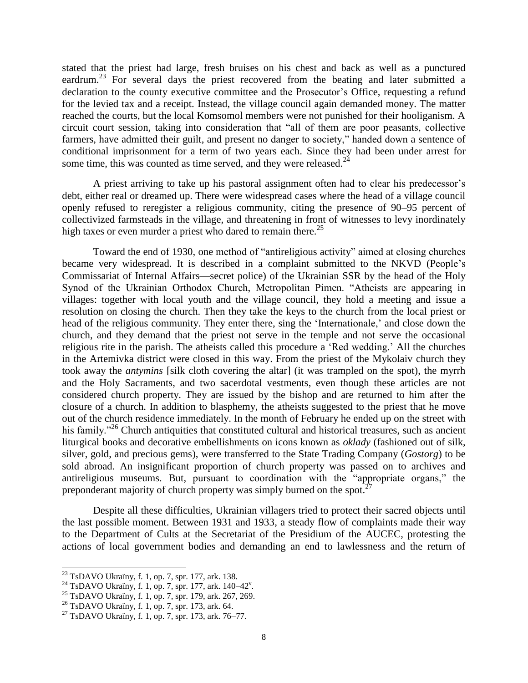stated that the priest had large, fresh bruises on his chest and back as well as a punctured eardrum.<sup>23</sup> For several days the priest recovered from the beating and later submitted a declaration to the county executive committee and the Prosecutor's Office, requesting a refund for the levied tax and a receipt. Instead, the village council again demanded money. The matter reached the courts, but the local Komsomol members were not punished for their hooliganism. A circuit court session, taking into consideration that "all of them are poor peasants, collective farmers, have admitted their guilt, and present no danger to society," handed down a sentence of conditional imprisonment for a term of two years each. Since they had been under arrest for some time, this was counted as time served, and they were released. $^{24}$ 

A priest arriving to take up his pastoral assignment often had to clear his predecessor's debt, either real or dreamed up. There were widespread cases where the head of a village council openly refused to reregister a religious community, citing the presence of 90–95 percent of collectivized farmsteads in the village, and threatening in front of witnesses to levy inordinately high taxes or even murder a priest who dared to remain there.<sup>25</sup>

Toward the end of 1930, one method of "antireligious activity" aimed at closing churches became very widespread. It is described in a complaint submitted to the NKVD (People's Commissariat of Internal Affairs—secret police) of the Ukrainian SSR by the head of the Holy Synod of the Ukrainian Orthodox Church, Metropolitan Pimen. "Atheists are appearing in villages: together with local youth and the village council, they hold a meeting and issue a resolution on closing the church. Then they take the keys to the church from the local priest or head of the religious community. They enter there, sing the 'Internationale,' and close down the church, and they demand that the priest not serve in the temple and not serve the occasional religious rite in the parish. The atheists called this procedure a 'Red wedding.' All the churches in the Artemivka district were closed in this way. From the priest of the Mykolaiv church they took away the *antymins* [silk cloth covering the altar] (it was trampled on the spot), the myrrh and the Holy Sacraments, and two sacerdotal vestments, even though these articles are not considered church property. They are issued by the bishop and are returned to him after the closure of a church. In addition to blasphemy, the atheists suggested to the priest that he move out of the church residence immediately. In the month of February he ended up on the street with his family.<sup>"26</sup> Church antiquities that constituted cultural and historical treasures, such as ancient liturgical books and decorative embellishments on icons known as *oklady* (fashioned out of silk, silver, gold, and precious gems), were transferred to the State Trading Company (*Gostorg*) to be sold abroad. An insignificant proportion of church property was passed on to archives and antireligious museums. But, pursuant to coordination with the "appropriate organs," the preponderant majority of church property was simply burned on the spot.<sup>27</sup>

Despite all these difficulties, Ukrainian villagers tried to protect their sacred objects until the last possible moment. Between 1931 and 1933, a steady flow of complaints made their way to the Department of Cults at the Secretariat of the Presidium of the AUCEC, protesting the actions of local government bodies and demanding an end to lawlessness and the return of

 $^{23}$  TsDAVO Ukraïny, f. 1, op. 7, spr. 177, ark. 138.

 $^{24}$  TsDAVO Ukraïny, f. 1, op. 7, spr. 177, ark. 140–42<sup>v</sup>.

<sup>25</sup> TsDAVO Ukraïny, f. 1, op. 7, spr. 179, ark. 267, 269.

<sup>26</sup> TsDAVO Ukraïny, f. 1, op. 7, spr. 173, ark. 64.

<sup>27</sup> TsDAVO Ukraïny, f. 1, op. 7, spr. 173, ark. 76–77.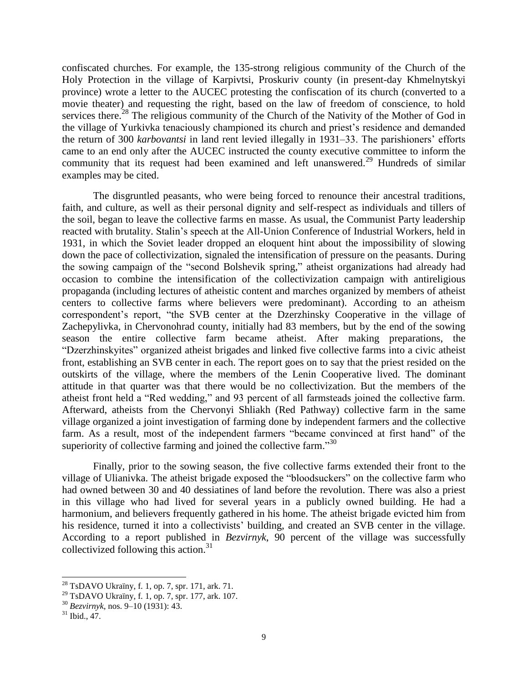confiscated churches. For example, the 135-strong religious community of the Church of the Holy Protection in the village of Karpivtsi, Proskuriv county (in present-day Khmelnytskyi province) wrote a letter to the AUCEC protesting the confiscation of its church (converted to a movie theater) and requesting the right, based on the law of freedom of conscience, to hold services there.<sup>28</sup> The religious community of the Church of the Nativity of the Mother of God in the village of Yurkivka tenaciously championed its church and priest's residence and demanded the return of 300 *karbovantsi* in land rent levied illegally in 1931–33. The parishioners' efforts came to an end only after the AUCEC instructed the county executive committee to inform the community that its request had been examined and left unanswered.<sup>29</sup> Hundreds of similar examples may be cited.

The disgruntled peasants, who were being forced to renounce their ancestral traditions, faith, and culture, as well as their personal dignity and self-respect as individuals and tillers of the soil, began to leave the collective farms en masse. As usual, the Communist Party leadership reacted with brutality. Stalin's speech at the All-Union Conference of Industrial Workers, held in 1931, in which the Soviet leader dropped an eloquent hint about the impossibility of slowing down the pace of collectivization, signaled the intensification of pressure on the peasants. During the sowing campaign of the "second Bolshevik spring," atheist organizations had already had occasion to combine the intensification of the collectivization campaign with antireligious propaganda (including lectures of atheistic content and marches organized by members of atheist centers to collective farms where believers were predominant). According to an atheism correspondent's report, "the SVB center at the Dzerzhinsky Cooperative in the village of Zachepylivka, in Chervonohrad county, initially had 83 members, but by the end of the sowing season the entire collective farm became atheist. After making preparations, the "Dzerzhinskyites" organized atheist brigades and linked five collective farms into a civic atheist front, establishing an SVB center in each. The report goes on to say that the priest resided on the outskirts of the village, where the members of the Lenin Cooperative lived. The dominant attitude in that quarter was that there would be no collectivization. But the members of the atheist front held a "Red wedding," and 93 percent of all farmsteads joined the collective farm. Afterward, atheists from the Chervonyi Shliakh (Red Pathway) collective farm in the same village organized a joint investigation of farming done by independent farmers and the collective farm. As a result, most of the independent farmers "became convinced at first hand" of the superiority of collective farming and joined the collective farm." $30$ 

Finally, prior to the sowing season, the five collective farms extended their front to the village of Ulianivka. The atheist brigade exposed the "bloodsuckers" on the collective farm who had owned between 30 and 40 dessiatines of land before the revolution. There was also a priest in this village who had lived for several years in a publicly owned building. He had a harmonium, and believers frequently gathered in his home. The atheist brigade evicted him from his residence, turned it into a collectivists' building, and created an SVB center in the village. According to a report published in *Bezvirnyk*, 90 percent of the village was successfully collectivized following this action. 31

 $^{28}$  TsDAVO Ukraïny, f. 1, op. 7, spr. 171, ark. 71.

 $^{29}$  TsDAVO Ukraïny, f. 1, op. 7, spr. 177, ark. 107.

<sup>30</sup> *Bezvirnyk*, nos. 9–10 (1931): 43.

 $31$  Ibid., 47.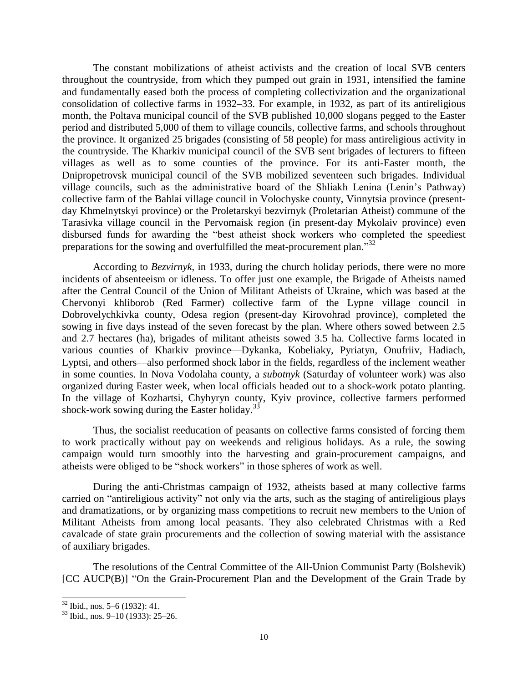The constant mobilizations of atheist activists and the creation of local SVB centers throughout the countryside, from which they pumped out grain in 1931, intensified the famine and fundamentally eased both the process of completing collectivization and the organizational consolidation of collective farms in 1932–33. For example, in 1932, as part of its antireligious month, the Poltava municipal council of the SVB published 10,000 slogans pegged to the Easter period and distributed 5,000 of them to village councils, collective farms, and schools throughout the province. It organized 25 brigades (consisting of 58 people) for mass antireligious activity in the countryside. The Kharkiv municipal council of the SVB sent brigades of lecturers to fifteen villages as well as to some counties of the province. For its anti-Easter month, the Dnipropetrovsk municipal council of the SVB mobilized seventeen such brigades. Individual village councils, such as the administrative board of the Shliakh Lenina (Lenin's Pathway) collective farm of the Bahlai village council in Volochyske county, Vinnytsia province (presentday Khmelnytskyi province) or the Proletarskyi bezvirnyk (Proletarian Atheist) commune of the Tarasivka village council in the Pervomaisk region (in present-day Mykolaiv province) even disbursed funds for awarding the "best atheist shock workers who completed the speediest preparations for the sowing and overfulfilled the meat-procurement plan."32

According to *Bezvirnyk*, in 1933, during the church holiday periods, there were no more incidents of absenteeism or idleness. To offer just one example, the Brigade of Atheists named after the Central Council of the Union of Militant Atheists of Ukraine, which was based at the Chervonyi khliborob (Red Farmer) collective farm of the Lypne village council in Dobrovelychkivka county, Odesa region (present-day Kirovohrad province), completed the sowing in five days instead of the seven forecast by the plan. Where others sowed between 2.5 and 2.7 hectares (ha), brigades of militant atheists sowed 3.5 ha. Collective farms located in various counties of Kharkiv province—Dykanka, Kobeliaky, Pyriatyn, Onufriiv, Hadiach, Lyptsi, and others—also performed shock labor in the fields, regardless of the inclement weather in some counties. In Nova Vodolaha county, a *subotnyk* (Saturday of volunteer work) was also organized during Easter week, when local officials headed out to a shock-work potato planting. In the village of Kozhartsi, Chyhyryn county, Kyiv province, collective farmers performed shock-work sowing during the Easter holiday.<sup>33</sup>

Thus, the socialist reeducation of peasants on collective farms consisted of forcing them to work practically without pay on weekends and religious holidays. As a rule, the sowing campaign would turn smoothly into the harvesting and grain-procurement campaigns, and atheists were obliged to be "shock workers" in those spheres of work as well.

During the anti-Christmas campaign of 1932, atheists based at many collective farms carried on "antireligious activity" not only via the arts, such as the staging of antireligious plays and dramatizations, or by organizing mass competitions to recruit new members to the Union of Militant Atheists from among local peasants. They also celebrated Christmas with a Red cavalcade of state grain procurements and the collection of sowing material with the assistance of auxiliary brigades.

The resolutions of the Central Committee of the All-Union Communist Party (Bolshevik) [CC AUCP(B)] "On the Grain-Procurement Plan and the Development of the Grain Trade by

 $32$  Ibid., nos. 5–6 (1932): 41.

 $33$  Ibid., nos. 9–10 (1933): 25–26.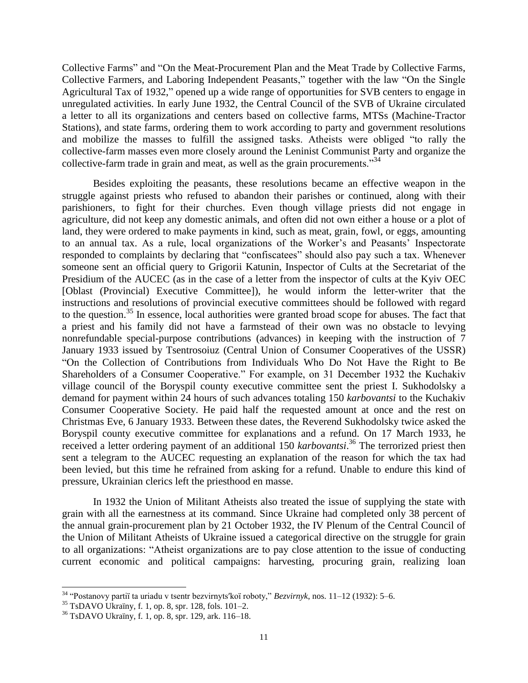Collective Farms" and "On the Meat-Procurement Plan and the Meat Trade by Collective Farms, Collective Farmers, and Laboring Independent Peasants," together with the law "On the Single Agricultural Tax of 1932," opened up a wide range of opportunities for SVB centers to engage in unregulated activities. In early June 1932, the Central Council of the SVB of Ukraine circulated a letter to all its organizations and centers based on collective farms, MTSs (Machine-Tractor Stations), and state farms, ordering them to work according to party and government resolutions and mobilize the masses to fulfill the assigned tasks. Atheists were obliged "to rally the collective-farm masses even more closely around the Leninist Communist Party and organize the collective-farm trade in grain and meat, as well as the grain procurements. $^{334}$ 

Besides exploiting the peasants, these resolutions became an effective weapon in the struggle against priests who refused to abandon their parishes or continued, along with their parishioners, to fight for their churches. Even though village priests did not engage in agriculture, did not keep any domestic animals, and often did not own either a house or a plot of land, they were ordered to make payments in kind, such as meat, grain, fowl, or eggs, amounting to an annual tax. As a rule, local organizations of the Worker's and Peasants' Inspectorate responded to complaints by declaring that "confiscatees" should also pay such a tax. Whenever someone sent an official query to Grigorii Katunin, Inspector of Cults at the Secretariat of the Presidium of the AUCEC (as in the case of a letter from the inspector of cults at the Kyiv OEC [Oblast (Provincial) Executive Committee]), he would inform the letter-writer that the instructions and resolutions of provincial executive committees should be followed with regard to the question.<sup>35</sup> In essence, local authorities were granted broad scope for abuses. The fact that a priest and his family did not have a farmstead of their own was no obstacle to levying nonrefundable special-purpose contributions (advances) in keeping with the instruction of 7 January 1933 issued by Tsentrosoiuz (Central Union of Consumer Cooperatives of the USSR) "On the Collection of Contributions from Individuals Who Do Not Have the Right to Be Shareholders of a Consumer Cooperative." For example, on 31 December 1932 the Kuchakiv village council of the Boryspil county executive committee sent the priest I. Sukhodolsky a demand for payment within 24 hours of such advances totaling 150 *karbovantsi* to the Kuchakiv Consumer Cooperative Society. He paid half the requested amount at once and the rest on Christmas Eve, 6 January 1933. Between these dates, the Reverend Sukhodolsky twice asked the Boryspil county executive committee for explanations and a refund. On 17 March 1933, he received a letter ordering payment of an additional 150 *karbovantsi*. <sup>36</sup> The terrorized priest then sent a telegram to the AUCEC requesting an explanation of the reason for which the tax had been levied, but this time he refrained from asking for a refund. Unable to endure this kind of pressure, Ukrainian clerics left the priesthood en masse.

In 1932 the Union of Militant Atheists also treated the issue of supplying the state with grain with all the earnestness at its command. Since Ukraine had completed only 38 percent of the annual grain-procurement plan by 21 October 1932, the IV Plenum of the Central Council of the Union of Militant Atheists of Ukraine issued a categorical directive on the struggle for grain to all organizations: "Atheist organizations are to pay close attention to the issue of conducting current economic and political campaigns: harvesting, procuring grain, realizing loan

<sup>34</sup> "Postanovy partiï ta uriadu v tsentr bezvirnyts′koï roboty," *Bezvirnyk*, nos. 11–12 (1932): 5–6.

<sup>35</sup> TsDAVO Ukraïny, f. 1, op. 8, spr. 128, fols. 101–2.

<sup>36</sup> TsDAVO Ukraïny, f. 1, op. 8, spr. 129, ark. 116–18.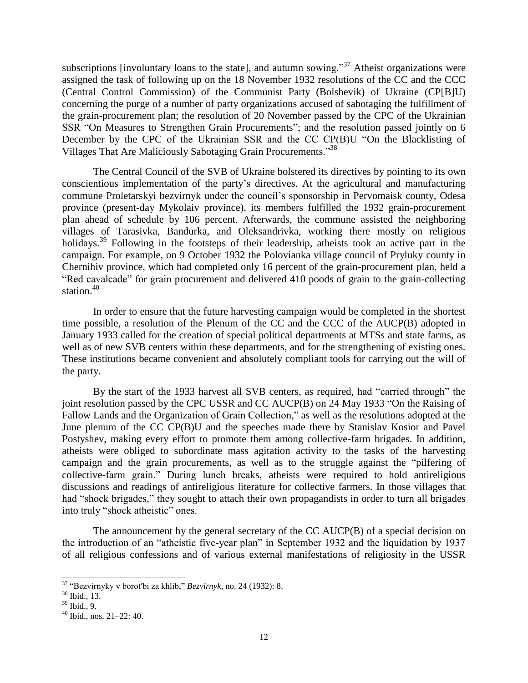subscriptions [involuntary loans to the state], and autumn sowing.<sup>37</sup> Atheist organizations were assigned the task of following up on the 18 November 1932 resolutions of the CC and the CCC (Central Control Commission) of the Communist Party (Bolshevik) of Ukraine (CP[B]U) concerning the purge of a number of party organizations accused of sabotaging the fulfillment of the grain-procurement plan; the resolution of 20 November passed by the CPC of the Ukrainian SSR "On Measures to Strengthen Grain Procurements"; and the resolution passed jointly on 6 December by the CPC of the Ukrainian SSR and the CC CP(B)U "On the Blacklisting of Villages That Are Maliciously Sabotaging Grain Procurements.<sup>338</sup>

The Central Council of the SVB of Ukraine bolstered its directives by pointing to its own conscientious implementation of the party's directives. At the agricultural and manufacturing commune Proletarskyi bezvirnyk under the council's sponsorship in Pervomaisk county, Odesa province (present-day Mykolaiv province), its members fulfilled the 1932 grain-procurement plan ahead of schedule by 106 percent. Afterwards, the commune assisted the neighboring villages of Tarasivka, Bandurka, and Oleksandrivka, working there mostly on religious holidays.<sup>39</sup> Following in the footsteps of their leadership, atheists took an active part in the campaign. For example, on 9 October 1932 the Polovianka village council of Pryluky county in Chernihiv province, which had completed only 16 percent of the grain-procurement plan, held a "Red cavalcade" for grain procurement and delivered 410 poods of grain to the grain-collecting station.<sup>40</sup>

In order to ensure that the future harvesting campaign would be completed in the shortest time possible, a resolution of the Plenum of the CC and the CCC of the AUCP(B) adopted in January 1933 called for the creation of special political departments at MTSs and state farms, as well as of new SVB centers within these departments, and for the strengthening of existing ones. These institutions became convenient and absolutely compliant tools for carrying out the will of the party.

By the start of the 1933 harvest all SVB centers, as required, had "carried through" the joint resolution passed by the CPC USSR and CC AUCP(B) on 24 May 1933 "On the Raising of Fallow Lands and the Organization of Grain Collection," as well as the resolutions adopted at the June plenum of the CC CP(B)U and the speeches made there by Stanislav Kosior and Pavel Postyshev, making every effort to promote them among collective-farm brigades. In addition, atheists were obliged to subordinate mass agitation activity to the tasks of the harvesting campaign and the grain procurements, as well as to the struggle against the "pilfering of collective-farm grain." During lunch breaks, atheists were required to hold antireligious discussions and readings of antireligious literature for collective farmers. In those villages that had "shock brigades," they sought to attach their own propagandists in order to turn all brigades into truly "shock atheistic" ones.

The announcement by the general secretary of the CC AUCP(B) of a special decision on the introduction of an "atheistic five-year plan" in September 1932 and the liquidation by 1937 of all religious confessions and of various external manifestations of religiosity in the USSR

<sup>37</sup> "Bezvirnyky v borot′bi za khlib," *Bezvirnyk*, no. 24 (1932): 8.

<sup>38</sup> Ibid., 13.

 $39$  Ibid., 9.

 $40$  Ibid., nos. 21–22: 40.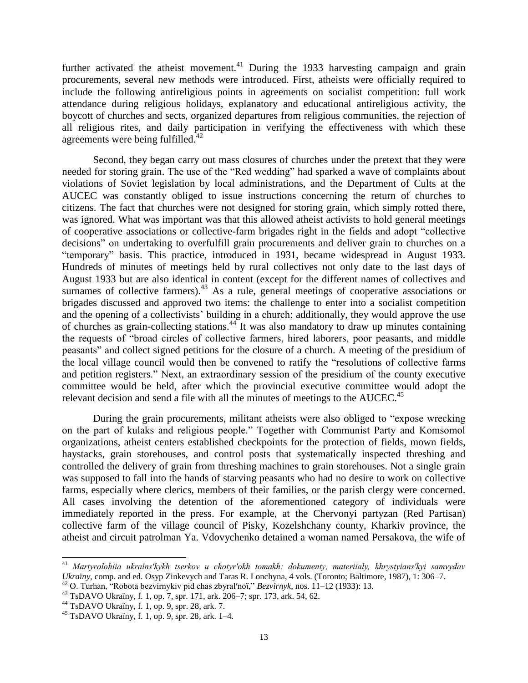further activated the atheist movement.<sup>41</sup> During the 1933 harvesting campaign and grain procurements, several new methods were introduced. First, atheists were officially required to include the following antireligious points in agreements on socialist competition: full work attendance during religious holidays, explanatory and educational antireligious activity, the boycott of churches and sects, organized departures from religious communities, the rejection of all religious rites, and daily participation in verifying the effectiveness with which these agreements were being fulfilled.<sup>42</sup>

Second, they began carry out mass closures of churches under the pretext that they were needed for storing grain. The use of the "Red wedding" had sparked a wave of complaints about violations of Soviet legislation by local administrations, and the Department of Cults at the AUCEC was constantly obliged to issue instructions concerning the return of churches to citizens. The fact that churches were not designed for storing grain, which simply rotted there, was ignored. What was important was that this allowed atheist activists to hold general meetings of cooperative associations or collective-farm brigades right in the fields and adopt "collective decisions" on undertaking to overfulfill grain procurements and deliver grain to churches on a "temporary" basis. This practice, introduced in 1931, became widespread in August 1933. Hundreds of minutes of meetings held by rural collectives not only date to the last days of August 1933 but are also identical in content (except for the different names of collectives and surnames of collective farmers).<sup>43</sup> As a rule, general meetings of cooperative associations or brigades discussed and approved two items: the challenge to enter into a socialist competition and the opening of a collectivists' building in a church; additionally, they would approve the use of churches as grain-collecting stations.<sup>44</sup> It was also mandatory to draw up minutes containing the requests of "broad circles of collective farmers, hired laborers, poor peasants, and middle peasants" and collect signed petitions for the closure of a church. A meeting of the presidium of the local village council would then be convened to ratify the "resolutions of collective farms and petition registers." Next, an extraordinary session of the presidium of the county executive committee would be held, after which the provincial executive committee would adopt the relevant decision and send a file with all the minutes of meetings to the AUCEC.<sup>45</sup>

During the grain procurements, militant atheists were also obliged to "expose wrecking on the part of kulaks and religious people." Together with Communist Party and Komsomol organizations, atheist centers established checkpoints for the protection of fields, mown fields, haystacks, grain storehouses, and control posts that systematically inspected threshing and controlled the delivery of grain from threshing machines to grain storehouses. Not a single grain was supposed to fall into the hands of starving peasants who had no desire to work on collective farms, especially where clerics, members of their families, or the parish clergy were concerned. All cases involving the detention of the aforementioned category of individuals were immediately reported in the press. For example, at the Chervonyi partyzan (Red Partisan) collective farm of the village council of Pisky, Kozelshchany county, Kharkiv province, the atheist and circuit patrolman Ya. Vdovychenko detained a woman named Persakova, the wife of

<sup>41</sup> *Martyrolohiia ukraïns′kykh tserkov u chotyr′okh tomakh: dokumenty, materiialy, khrystyians′kyi samvydav Ukraïny*, comp. and ed. Osyp Zinkevych and Taras R. Lonchyna, 4 vols. (Toronto; Baltimore, 1987), 1: 306–7.

<sup>42</sup> O. Turhan, "Robota bezvirnykiv pid chas zbyral′noï," *Bezvirnyk*, nos. 11–12 (1933): 13.

<sup>43</sup> TsDAVO Ukraïny, f. 1, op. 7, spr. 171, ark. 206–7; spr. 173, ark. 54, 62.

<sup>44</sup> TsDAVO Ukraïny, f. 1, op. 9, spr. 28, ark. 7.

 $45$  TsDAVO Ukraïny, f. 1, op. 9, spr. 28, ark. 1–4.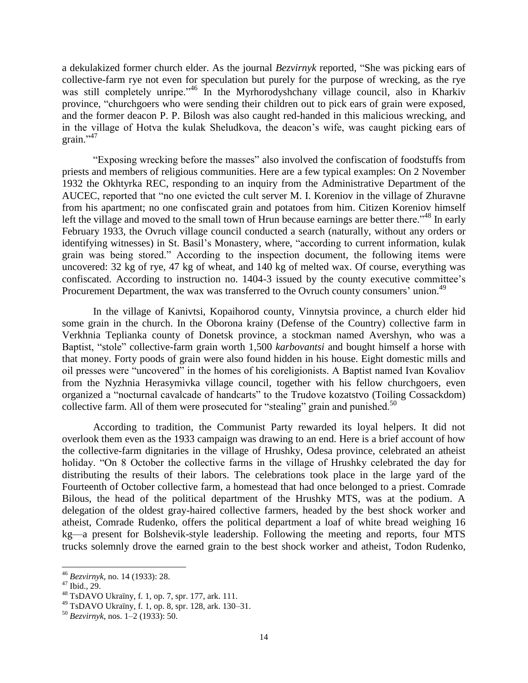a dekulakized former church elder. As the journal *Bezvirnyk* reported, "She was picking ears of collective-farm rye not even for speculation but purely for the purpose of wrecking, as the rye was still completely unripe."<sup>46</sup> In the Myrhorodyshchany village council, also in Kharkiv province, "churchgoers who were sending their children out to pick ears of grain were exposed, and the former deacon P. P. Bilosh was also caught red-handed in this malicious wrecking, and in the village of Hotva the kulak Sheludkova, the deacon's wife, was caught picking ears of grain."<sup>47</sup>

"Exposing wrecking before the masses" also involved the confiscation of foodstuffs from priests and members of religious communities. Here are a few typical examples: On 2 November 1932 the Okhtyrka REC, responding to an inquiry from the Administrative Department of the AUCEC, reported that "no one evicted the cult server M. I. Koreniov in the village of Zhuravne from his apartment; no one confiscated grain and potatoes from him. Citizen Koreniov himself left the village and moved to the small town of Hrun because earnings are better there.<sup>"48</sup> In early February 1933, the Ovruch village council conducted a search (naturally, without any orders or identifying witnesses) in St. Basil's Monastery, where, "according to current information, kulak grain was being stored." According to the inspection document, the following items were uncovered: 32 kg of rye, 47 kg of wheat, and 140 kg of melted wax. Of course, everything was confiscated. According to instruction no. 1404-3 issued by the county executive committee's Procurement Department, the wax was transferred to the Ovruch county consumers' union.<sup>49</sup>

In the village of Kanivtsi, Kopaihorod county, Vinnytsia province, a church elder hid some grain in the church. In the Oborona krainy (Defense of the Country) collective farm in Verkhnia Teplianka county of Donetsk province, a stockman named Avershyn, who was a Baptist, "stole" collective-farm grain worth 1,500 *karbovantsi* and bought himself a horse with that money. Forty poods of grain were also found hidden in his house. Eight domestic mills and oil presses were "uncovered" in the homes of his coreligionists. A Baptist named Ivan Kovaliov from the Nyzhnia Herasymivka village council, together with his fellow churchgoers, even organized a "nocturnal cavalcade of handcarts" to the Trudove kozatstvo (Toiling Cossackdom) collective farm. All of them were prosecuted for "stealing" grain and punished.<sup>50</sup>

According to tradition, the Communist Party rewarded its loyal helpers. It did not overlook them even as the 1933 campaign was drawing to an end. Here is a brief account of how the collective-farm dignitaries in the village of Hrushky, Odesa province, celebrated an atheist holiday. "On 8 October the collective farms in the village of Hrushky celebrated the day for distributing the results of their labors. The celebrations took place in the large yard of the Fourteenth of October collective farm, a homestead that had once belonged to a priest. Comrade Bilous, the head of the political department of the Hrushky MTS, was at the podium. A delegation of the oldest gray-haired collective farmers, headed by the best shock worker and atheist, Comrade Rudenko, offers the political department a loaf of white bread weighing 16 kg—a present for Bolshevik-style leadership. Following the meeting and reports, four MTS trucks solemnly drove the earned grain to the best shock worker and atheist, Todon Rudenko,

<sup>46</sup> *Bezvirnyk*, no. 14 (1933): 28.

 $47$  Ibid., 29.

<sup>48</sup> TsDAVO Ukraïny, f. 1, op. 7, spr. 177, ark. 111.

<sup>49</sup> TsDAVO Ukraïny, f. 1, op. 8, spr. 128, ark. 130–31.

<sup>50</sup> *Bezvirnyk*, nos. 1–2 (1933): 50.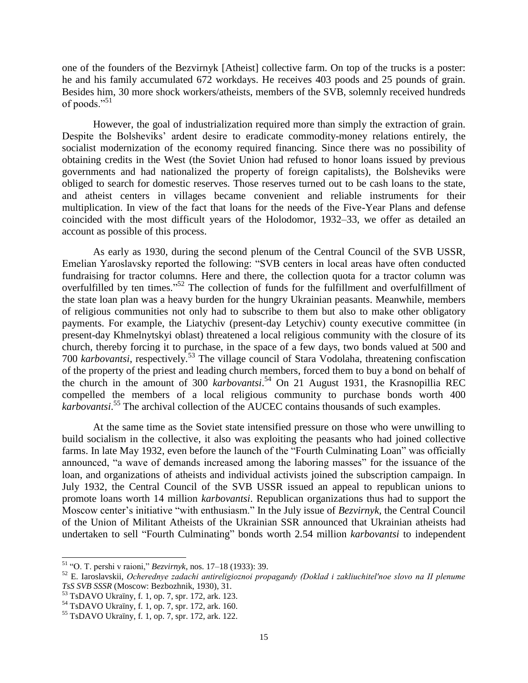one of the founders of the Bezvirnyk [Atheist] collective farm. On top of the trucks is a poster: he and his family accumulated 672 workdays. He receives 403 poods and 25 pounds of grain. Besides him, 30 more shock workers/atheists, members of the SVB, solemnly received hundreds of poods."<sup>51</sup>

However, the goal of industrialization required more than simply the extraction of grain. Despite the Bolsheviks' ardent desire to eradicate commodity-money relations entirely, the socialist modernization of the economy required financing. Since there was no possibility of obtaining credits in the West (the Soviet Union had refused to honor loans issued by previous governments and had nationalized the property of foreign capitalists), the Bolsheviks were obliged to search for domestic reserves. Those reserves turned out to be cash loans to the state, and atheist centers in villages became convenient and reliable instruments for their multiplication. In view of the fact that loans for the needs of the Five-Year Plans and defense coincided with the most difficult years of the Holodomor, 1932–33, we offer as detailed an account as possible of this process.

As early as 1930, during the second plenum of the Central Council of the SVB USSR, Emelian Yaroslavsky reported the following: "SVB centers in local areas have often conducted fundraising for tractor columns. Here and there, the collection quota for a tractor column was overfulfilled by ten times." <sup>52</sup> The collection of funds for the fulfillment and overfulfillment of the state loan plan was a heavy burden for the hungry Ukrainian peasants. Meanwhile, members of religious communities not only had to subscribe to them but also to make other obligatory payments. For example, the Liatychiv (present-day Letychiv) county executive committee (in present-day Khmelnytskyi oblast) threatened a local religious community with the closure of its church, thereby forcing it to purchase, in the space of a few days, two bonds valued at 500 and 700 *karbovantsi*, respectively.<sup>53</sup> The village council of Stara Vodolaha, threatening confiscation of the property of the priest and leading church members, forced them to buy a bond on behalf of the church in the amount of 300 *karbovantsi*. <sup>54</sup> On 21 August 1931, the Krasnopillia REC compelled the members of a local religious community to purchase bonds worth 400 *karbovantsi*. <sup>55</sup> The archival collection of the AUCEC contains thousands of such examples.

At the same time as the Soviet state intensified pressure on those who were unwilling to build socialism in the collective, it also was exploiting the peasants who had joined collective farms. In late May 1932, even before the launch of the "Fourth Culminating Loan" was officially announced, "a wave of demands increased among the laboring masses" for the issuance of the loan, and organizations of atheists and individual activists joined the subscription campaign. In July 1932, the Central Council of the SVB USSR issued an appeal to republican unions to promote loans worth 14 million *karbovantsi*. Republican organizations thus had to support the Moscow center's initiative "with enthusiasm." In the July issue of *Bezvirnyk,* the Central Council of the Union of Militant Atheists of the Ukrainian SSR announced that Ukrainian atheists had undertaken to sell "Fourth Culminating" bonds worth 2.54 million *karbovantsi* to independent

<sup>51</sup> "O. T. pershi v raioni," *Bezvirnyk*, nos. 17–18 (1933): 39.

<sup>52</sup> E. Iaroslavskii, *Ocherednye zadachi antireligioznoi propagandy (Doklad i zakliuchitel′noe slovo na II plenume TsS SVB SSSR* (Moscow: Bezbozhnik, 1930), 31.

<sup>53</sup> TsDAVO Ukraïny, f. 1, op. 7, spr. 172, ark. 123.

<sup>54</sup> TsDAVO Ukraïny, f. 1, op. 7, spr. 172, ark. 160.

<sup>55</sup> TsDAVO Ukraïny, f. 1, op. 7, spr. 172, ark. 122.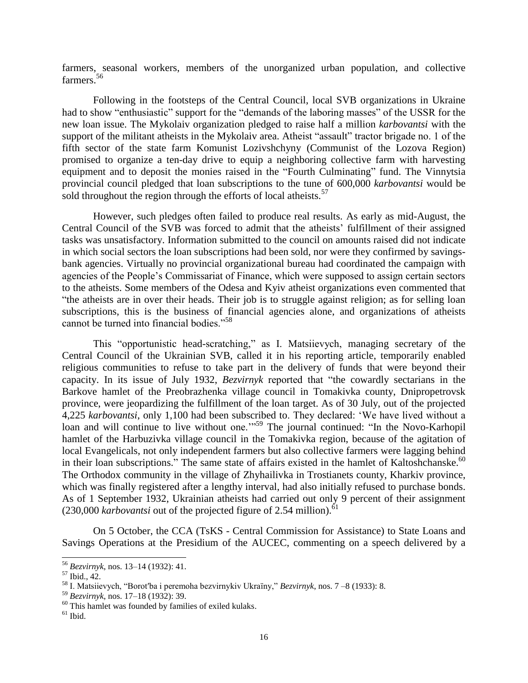farmers, seasonal workers, members of the unorganized urban population, and collective farmers.<sup>56</sup>

Following in the footsteps of the Central Council, local SVB organizations in Ukraine had to show "enthusiastic" support for the "demands of the laboring masses" of the USSR for the new loan issue. The Mykolaiv organization pledged to raise half a million *karbovantsi* with the support of the militant atheists in the Mykolaiv area. Atheist "assault" tractor brigade no. 1 of the fifth sector of the state farm Komunist Lozivshchyny (Communist of the Lozova Region) promised to organize a ten-day drive to equip a neighboring collective farm with harvesting equipment and to deposit the monies raised in the "Fourth Culminating" fund. The Vinnytsia provincial council pledged that loan subscriptions to the tune of 600,000 *karbovantsi* would be sold throughout the region through the efforts of local atheists.<sup>57</sup>

However, such pledges often failed to produce real results. As early as mid-August, the Central Council of the SVB was forced to admit that the atheists' fulfillment of their assigned tasks was unsatisfactory. Information submitted to the council on amounts raised did not indicate in which social sectors the loan subscriptions had been sold, nor were they confirmed by savingsbank agencies. Virtually no provincial organizational bureau had coordinated the campaign with agencies of the People's Commissariat of Finance, which were supposed to assign certain sectors to the atheists. Some members of the Odesa and Kyiv atheist organizations even commented that "the atheists are in over their heads. Their job is to struggle against religion; as for selling loan subscriptions, this is the business of financial agencies alone, and organizations of atheists cannot be turned into financial bodies."<sup>58</sup>

This "opportunistic head-scratching," as I. Matsiievych, managing secretary of the Central Council of the Ukrainian SVB, called it in his reporting article, temporarily enabled religious communities to refuse to take part in the delivery of funds that were beyond their capacity. In its issue of July 1932, *Bezvirnyk* reported that "the cowardly sectarians in the Barkove hamlet of the Preobrazhenka village council in Tomakivka county, Dnipropetrovsk province, were jeopardizing the fulfillment of the loan target. As of 30 July, out of the projected 4,225 *karbovantsi*, only 1,100 had been subscribed to. They declared: 'We have lived without a Experimentally continue to live without one.<sup>'"59</sup> The journal continued: "In the Novo-Karhopil loan and will continue to live without one.'<sup>"59</sup> The journal continued: "In the Novo-Karhopil hamlet of the Harbuzivka village council in the Tomakivka region, because of the agitation of local Evangelicals, not only independent farmers but also collective farmers were lagging behind in their loan subscriptions." The same state of affairs existed in the hamlet of Kaltoshchanske.<sup>60</sup> The Orthodox community in the village of Zhyhailivka in Trostianets county, Kharkiv province, which was finally registered after a lengthy interval, had also initially refused to purchase bonds. As of 1 September 1932, Ukrainian atheists had carried out only 9 percent of their assignment  $(230,000 \text{ karboxantsi}$  out of the projected figure of 2.54 million).<sup>61</sup>

On 5 October, the CCA (TsKS - Central Commission for Assistance) to State Loans and Savings Operations at the Presidium of the AUCEC, commenting on a speech delivered by a

<sup>56</sup> *Bezvirnyk*, nos. 13–14 (1932): 41.

<sup>57</sup> Ibid., 42.

<sup>58</sup> I. Matsiievych, "Borot′ba i peremoha bezvirnykiv Ukraïny," *Bezvirnyk*, nos. 7 –8 (1933): 8.

<sup>59</sup> *Bezvirnyk*, nos. 17–18 (1932): 39.

<sup>&</sup>lt;sup>60</sup> This hamlet was founded by families of exiled kulaks.

 $^{61}$  Ibid.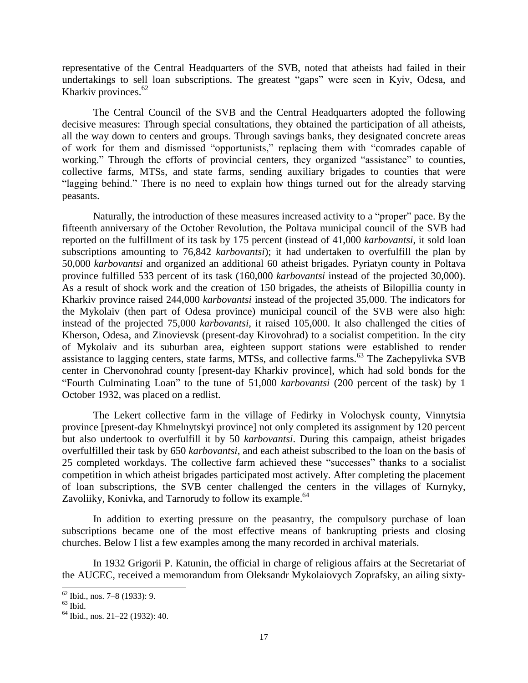representative of the Central Headquarters of the SVB, noted that atheists had failed in their undertakings to sell loan subscriptions. The greatest "gaps" were seen in Kyiv, Odesa, and Kharkiv provinces.<sup>62</sup>

The Central Council of the SVB and the Central Headquarters adopted the following decisive measures: Through special consultations, they obtained the participation of all atheists, all the way down to centers and groups. Through savings banks, they designated concrete areas of work for them and dismissed "opportunists," replacing them with "comrades capable of working." Through the efforts of provincial centers, they organized "assistance" to counties, collective farms, MTSs, and state farms, sending auxiliary brigades to counties that were "lagging behind." There is no need to explain how things turned out for the already starving peasants.

Naturally, the introduction of these measures increased activity to a "proper" pace. By the fifteenth anniversary of the October Revolution, the Poltava municipal council of the SVB had reported on the fulfillment of its task by 175 percent (instead of 41,000 *karbovantsi*, it sold loan subscriptions amounting to 76,842 *karbovantsi*); it had undertaken to overfulfill the plan by 50,000 *karbovantsi* and organized an additional 60 atheist brigades. Pyriatyn county in Poltava province fulfilled 533 percent of its task (160,000 *karbovantsi* instead of the projected 30,000). As a result of shock work and the creation of 150 brigades, the atheists of Bilopillia county in Kharkiv province raised 244,000 *karbovantsi* instead of the projected 35,000. The indicators for the Mykolaiv (then part of Odesa province) municipal council of the SVB were also high: instead of the projected 75,000 *karbovantsi*, it raised 105,000. It also challenged the cities of Kherson, Odesa, and Zinovievsk (present-day Kirovohrad) to a socialist competition. In the city of Mykolaiv and its suburban area, eighteen support stations were established to render assistance to lagging centers, state farms, MTSs, and collective farms.<sup>63</sup> The Zachepylivka SVB center in Chervonohrad county [present-day Kharkiv province], which had sold bonds for the "Fourth Culminating Loan" to the tune of 51,000 *karbovantsi* (200 percent of the task) by 1 October 1932, was placed on a redlist.

The Lekert collective farm in the village of Fedirky in Volochysk county, Vinnytsia province [present-day Khmelnytskyi province] not only completed its assignment by 120 percent but also undertook to overfulfill it by 50 *karbovantsi*. During this campaign, atheist brigades overfulfilled their task by 650 *karbovantsi*, and each atheist subscribed to the loan on the basis of 25 completed workdays. The collective farm achieved these "successes" thanks to a socialist competition in which atheist brigades participated most actively. After completing the placement of loan subscriptions, the SVB center challenged the centers in the villages of Kurnyky, Zavoliiky, Konivka, and Tarnorudy to follow its example.<sup>64</sup>

In addition to exerting pressure on the peasantry, the compulsory purchase of loan subscriptions became one of the most effective means of bankrupting priests and closing churches. Below I list a few examples among the many recorded in archival materials.

In 1932 Grigorii P. Katunin, the official in charge of religious affairs at the Secretariat of the AUCEC, received a memorandum from Oleksandr Mykolaiovych Zoprafsky, an ailing sixty-

l  $62$  Ibid., nos. 7–8 (1933): 9.

 $63$  Ibid.

<sup>64</sup> Ibid., nos. 21–22 (1932): 40.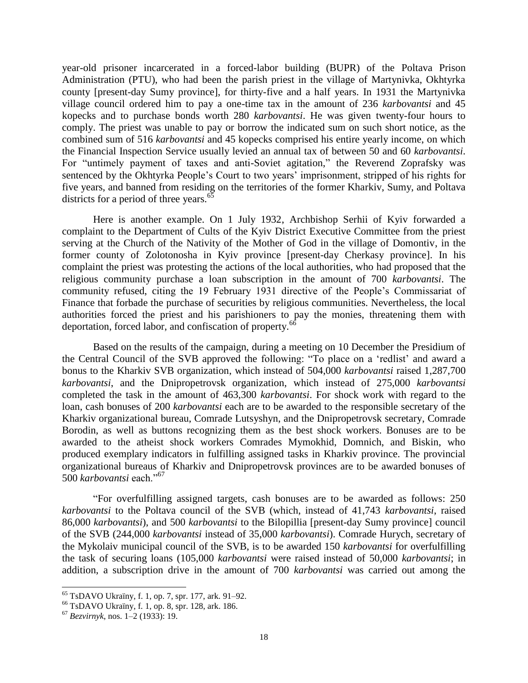year-old prisoner incarcerated in a forced-labor building (BUPR) of the Poltava Prison Administration (PTU), who had been the parish priest in the village of Martynivka, Okhtyrka county [present-day Sumy province], for thirty-five and a half years. In 1931 the Martynivka village council ordered him to pay a one-time tax in the amount of 236 *karbovantsi* and 45 kopecks and to purchase bonds worth 280 *karbovantsi*. He was given twenty-four hours to comply. The priest was unable to pay or borrow the indicated sum on such short notice, as the combined sum of 516 *karbovantsi* and 45 kopecks comprised his entire yearly income, on which the Financial Inspection Service usually levied an annual tax of between 50 and 60 *karbovantsi*. For "untimely payment of taxes and anti-Soviet agitation," the Reverend Zoprafsky was sentenced by the Okhtyrka People's Court to two years' imprisonment, stripped of his rights for five years, and banned from residing on the territories of the former Kharkiv, Sumy, and Poltava districts for a period of three years.<sup>65</sup>

Here is another example. On 1 July 1932, Archbishop Serhii of Kyiv forwarded a complaint to the Department of Cults of the Kyiv District Executive Committee from the priest serving at the Church of the Nativity of the Mother of God in the village of Domontiv, in the former county of Zolotonosha in Kyiv province [present-day Cherkasy province]. In his complaint the priest was protesting the actions of the local authorities, who had proposed that the religious community purchase a loan subscription in the amount of 700 *karbovantsi*. The community refused, citing the 19 February 1931 directive of the People's Commissariat of Finance that forbade the purchase of securities by religious communities. Nevertheless, the local authorities forced the priest and his parishioners to pay the monies, threatening them with deportation, forced labor, and confiscation of property.<sup>66</sup>

Based on the results of the campaign, during a meeting on 10 December the Presidium of the Central Council of the SVB approved the following: "To place on a 'redlist' and award a bonus to the Kharkiv SVB organization, which instead of 504,000 *karbovantsi* raised 1,287,700 *karbovantsi*, and the Dnipropetrovsk organization, which instead of 275,000 *karbovantsi* completed the task in the amount of 463,300 *karbovantsi*. For shock work with regard to the loan, cash bonuses of 200 *karbovantsi* each are to be awarded to the responsible secretary of the Kharkiv organizational bureau, Comrade Lutsyshyn, and the Dnipropetrovsk secretary, Comrade Borodin, as well as buttons recognizing them as the best shock workers. Bonuses are to be awarded to the atheist shock workers Comrades Mymokhid, Domnich, and Biskin, who produced exemplary indicators in fulfilling assigned tasks in Kharkiv province. The provincial organizational bureaus of Kharkiv and Dnipropetrovsk provinces are to be awarded bonuses of 500 *karbovantsi* each."<sup>67</sup>

"For overfulfilling assigned targets, cash bonuses are to be awarded as follows: 250 *karbovantsi* to the Poltava council of the SVB (which, instead of 41,743 *karbovantsi*, raised 86,000 *karbovantsi*), and 500 *karbovantsi* to the Bilopillia [present-day Sumy province] council of the SVB (244,000 *karbovantsi* instead of 35,000 *karbovantsi*). Comrade Hurych, secretary of the Mykolaiv municipal council of the SVB, is to be awarded 150 *karbovantsi* for overfulfilling the task of securing loans (105,000 *karbovantsi* were raised instead of 50,000 *karbovantsi*; in addition, a subscription drive in the amount of 700 *karbovantsi* was carried out among the

<sup>65</sup> TsDAVO Ukraïny, f. 1, op. 7, spr. 177, ark. 91–92.

<sup>66</sup> TsDAVO Ukraïny, f. 1, op. 8, spr. 128, ark. 186.

<sup>67</sup> *Bezvirnyk*, nos. 1–2 (1933): 19.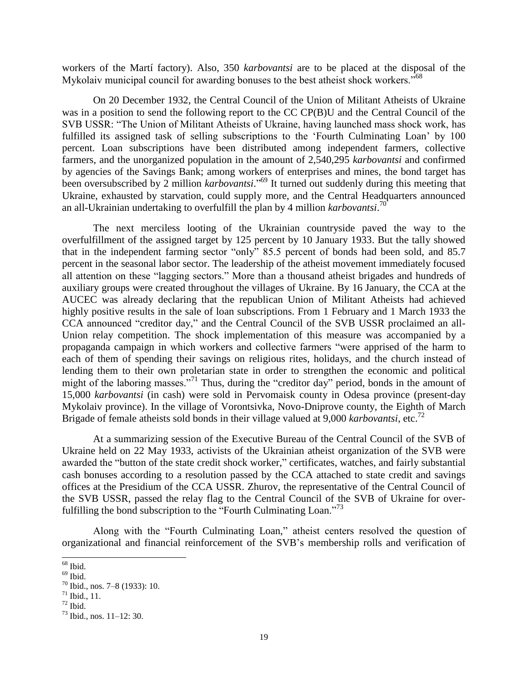workers of the Martí factory). Also, 350 *karbovantsi* are to be placed at the disposal of the Mykolaiv municipal council for awarding bonuses to the best atheist shock workers.<sup>568</sup>

On 20 December 1932, the Central Council of the Union of Militant Atheists of Ukraine was in a position to send the following report to the CC CP(B)U and the Central Council of the SVB USSR: "The Union of Militant Atheists of Ukraine, having launched mass shock work, has fulfilled its assigned task of selling subscriptions to the 'Fourth Culminating Loan' by 100 percent. Loan subscriptions have been distributed among independent farmers, collective farmers, and the unorganized population in the amount of 2,540,295 *karbovantsi* and confirmed by agencies of the Savings Bank; among workers of enterprises and mines, the bond target has been oversubscribed by 2 million *karbovantsi*." <sup>69</sup> It turned out suddenly during this meeting that Ukraine, exhausted by starvation, could supply more, and the Central Headquarters announced an all-Ukrainian undertaking to overfulfill the plan by 4 million *karbovantsi*. 70

The next merciless looting of the Ukrainian countryside paved the way to the overfulfillment of the assigned target by 125 percent by 10 January 1933. But the tally showed that in the independent farming sector "only" 85.5 percent of bonds had been sold, and 85.7 percent in the seasonal labor sector. The leadership of the atheist movement immediately focused all attention on these "lagging sectors." More than a thousand atheist brigades and hundreds of auxiliary groups were created throughout the villages of Ukraine. By 16 January, the CCA at the AUCEC was already declaring that the republican Union of Militant Atheists had achieved highly positive results in the sale of loan subscriptions. From 1 February and 1 March 1933 the CCA announced "creditor day," and the Central Council of the SVB USSR proclaimed an all-Union relay competition. The shock implementation of this measure was accompanied by a propaganda campaign in which workers and collective farmers "were apprised of the harm to each of them of spending their savings on religious rites, holidays, and the church instead of lending them to their own proletarian state in order to strengthen the economic and political might of the laboring masses."<sup>71</sup> Thus, during the "creditor day" period, bonds in the amount of 15,000 *karbovantsi* (in cash) were sold in Pervomaisk county in Odesa province (present-day Mykolaiv province). In the village of Vorontsivka, Novo-Dniprove county, the Eighth of March Brigade of female atheists sold bonds in their village valued at 9,000 *karbovantsi*, etc.<sup>72</sup>

At a summarizing session of the Executive Bureau of the Central Council of the SVB of Ukraine held on 22 May 1933, activists of the Ukrainian atheist organization of the SVB were awarded the "button of the state credit shock worker," certificates, watches, and fairly substantial cash bonuses according to a resolution passed by the CCA attached to state credit and savings offices at the Presidium of the CCA USSR. Zhurov, the representative of the Central Council of the SVB USSR, passed the relay flag to the Central Council of the SVB of Ukraine for overfulfilling the bond subscription to the "Fourth Culminating Loan."<sup>73</sup>

Along with the "Fourth Culminating Loan," atheist centers resolved the question of organizational and financial reinforcement of the SVB's membership rolls and verification of

 $\overline{a}$  $68$  Ibid.

 $69$  Ibid.

<sup>70</sup> Ibid., nos. 7–8 (1933): 10.

 $71$  Ibid., 11.

 $72$  Ibid.

 $^{73}$  Ibid., nos. 11–12: 30.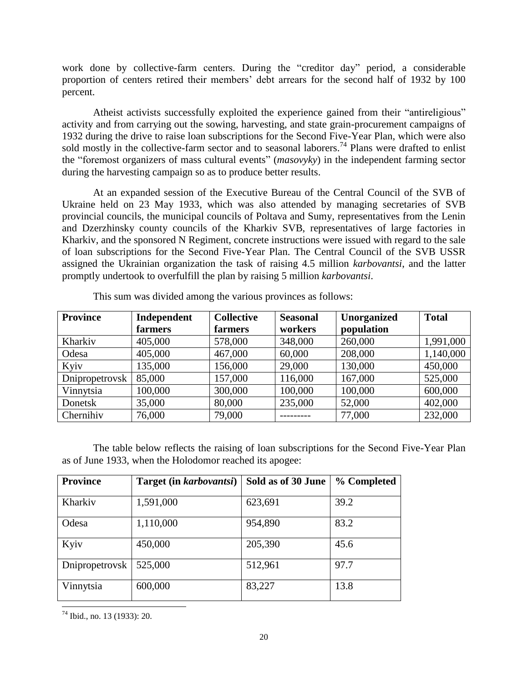work done by collective-farm centers. During the "creditor day" period, a considerable proportion of centers retired their members' debt arrears for the second half of 1932 by 100 percent.

Atheist activists successfully exploited the experience gained from their "antireligious" activity and from carrying out the sowing, harvesting, and state grain-procurement campaigns of 1932 during the drive to raise loan subscriptions for the Second Five-Year Plan, which were also sold mostly in the collective-farm sector and to seasonal laborers.<sup>74</sup> Plans were drafted to enlist the "foremost organizers of mass cultural events" (*masovyky*) in the independent farming sector during the harvesting campaign so as to produce better results.

At an expanded session of the Executive Bureau of the Central Council of the SVB of Ukraine held on 23 May 1933, which was also attended by managing secretaries of SVB provincial councils, the municipal councils of Poltava and Sumy, representatives from the Lenin and Dzerzhinsky county councils of the Kharkiv SVB, representatives of large factories in Kharkiv, and the sponsored N Regiment, concrete instructions were issued with regard to the sale of loan subscriptions for the Second Five-Year Plan. The Central Council of the SVB USSR assigned the Ukrainian organization the task of raising 4.5 million *karbovantsi*, and the latter promptly undertook to overfulfill the plan by raising 5 million *karbovantsi*.

| <b>Province</b> | Independent | <b>Collective</b> | <b>Seasonal</b> | Unorganized | <b>Total</b> |
|-----------------|-------------|-------------------|-----------------|-------------|--------------|
|                 | farmers     | farmers           | workers         | population  |              |
| Kharkiv         | 405,000     | 578,000           | 348,000         | 260,000     | 1,991,000    |
| Odesa           | 405,000     | 467,000           | 60,000          | 208,000     | 1,140,000    |
| Kyiv            | 135,000     | 156,000           | 29,000          | 130,000     | 450,000      |
| Dnipropetrovsk  | 85,000      | 157,000           | 116,000         | 167,000     | 525,000      |
| Vinnytsia       | 100,000     | 300,000           | 100,000         | 100,000     | 600,000      |
| Donetsk         | 35,000      | 80,000            | 235,000         | 52,000      | 402,000      |
| Chernihiv       | 76,000      | 79,000            |                 | 77,000      | 232,000      |

This sum was divided among the various provinces as follows:

The table below reflects the raising of loan subscriptions for the Second Five-Year Plan as of June 1933, when the Holodomor reached its apogee:

| <b>Province</b> | Target (in karbovantsi) | Sold as of 30 June | % Completed |
|-----------------|-------------------------|--------------------|-------------|
|                 |                         |                    |             |
| Kharkiv         | 1,591,000               | 623,691            | 39.2        |
| Odesa           | 1,110,000               | 954,890            | 83.2        |
| Kyiv            | 450,000                 | 205,390            | 45.6        |
| Dnipropetrovsk  | 525,000                 | 512,961            | 97.7        |
| Vinnytsia       | 600,000                 | 83,227             | 13.8        |

l  $74$  Ibid., no. 13 (1933): 20.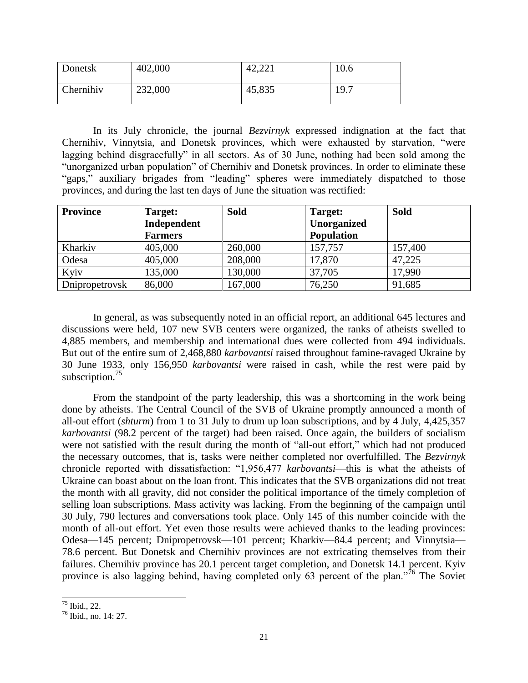| Donetsk   | 402,000 | 42,221 | 10.6 |
|-----------|---------|--------|------|
| Chernihiv | 232,000 | 45,835 | 19.7 |

In its July chronicle, the journal *Bezvirnyk* expressed indignation at the fact that Chernihiv, Vinnytsia, and Donetsk provinces, which were exhausted by starvation, "were lagging behind disgracefully" in all sectors. As of 30 June, nothing had been sold among the "unorganized urban population" of Chernihiv and Donetsk provinces. In order to eliminate these "gaps," auxiliary brigades from "leading" spheres were immediately dispatched to those provinces, and during the last ten days of June the situation was rectified:

| <b>Province</b> | Target:        | <b>Sold</b> | Target:           | <b>Sold</b> |
|-----------------|----------------|-------------|-------------------|-------------|
|                 | Independent    |             | Unorganized       |             |
|                 | <b>Farmers</b> |             | <b>Population</b> |             |
| Kharkiv         | 405,000        | 260,000     | 157,757           | 157,400     |
| Odesa           | 405,000        | 208,000     | 17,870            | 47,225      |
| Kyiv            | 135,000        | 130,000     | 37,705            | 17,990      |
| Dnipropetrovsk  | 86,000         | 167,000     | 76,250            | 91,685      |

In general, as was subsequently noted in an official report, an additional 645 lectures and discussions were held, 107 new SVB centers were organized, the ranks of atheists swelled to 4,885 members, and membership and international dues were collected from 494 individuals. But out of the entire sum of 2,468,880 *karbovantsi* raised throughout famine-ravaged Ukraine by 30 June 1933, only 156,950 *karbovantsi* were raised in cash, while the rest were paid by subscription. $^{75}$ 

From the standpoint of the party leadership, this was a shortcoming in the work being done by atheists. The Central Council of the SVB of Ukraine promptly announced a month of all-out effort (*shturm*) from 1 to 31 July to drum up loan subscriptions, and by 4 July, 4,425,357 *karbovantsi* (98.2 percent of the target) had been raised. Once again, the builders of socialism were not satisfied with the result during the month of "all-out effort," which had not produced the necessary outcomes, that is, tasks were neither completed nor overfulfilled. The *Bezvirnyk* chronicle reported with dissatisfaction: "1,956,477 *karbovantsi*—this is what the atheists of Ukraine can boast about on the loan front. This indicates that the SVB organizations did not treat the month with all gravity, did not consider the political importance of the timely completion of selling loan subscriptions. Mass activity was lacking. From the beginning of the campaign until 30 July, 790 lectures and conversations took place. Only 145 of this number coincide with the month of all-out effort. Yet even those results were achieved thanks to the leading provinces: Odesa—145 percent; Dnipropetrovsk—101 percent; Kharkiv—84.4 percent; and Vinnytsia— 78.6 percent. But Donetsk and Chernihiv provinces are not extricating themselves from their failures. Chernihiv province has 20.1 percent target completion, and Donetsk 14.1 percent. Kyiv province is also lagging behind, having completed only 63 percent of the plan."<sup>76</sup> The Soviet

 $\overline{a}$  $75$  Ibid., 22.

<sup>76</sup> Ibid., no. 14: 27.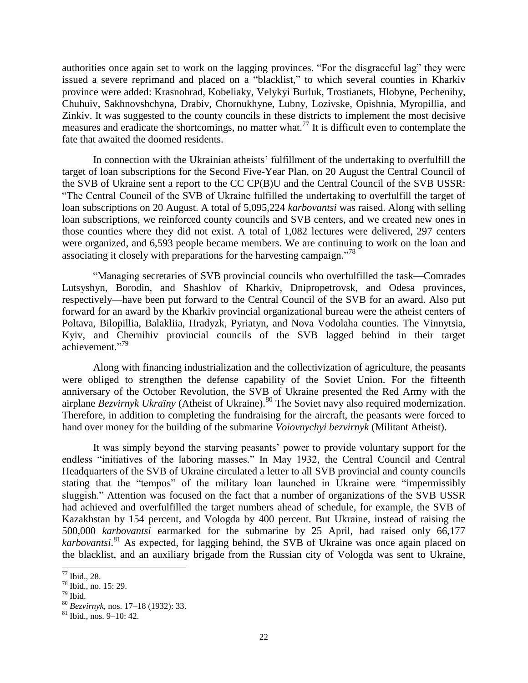authorities once again set to work on the lagging provinces. "For the disgraceful lag" they were issued a severe reprimand and placed on a "blacklist," to which several counties in Kharkiv province were added: Krasnohrad, Kobeliaky, Velykyi Burluk, Trostianets, Hlobyne, Pechenihy, Chuhuiv, Sakhnovshchyna, Drabiv, Chornukhyne, Lubny, Lozivske, Opishnia, Myropillia, and Zinkiv. It was suggested to the county councils in these districts to implement the most decisive measures and eradicate the shortcomings, no matter what.<sup>77</sup> It is difficult even to contemplate the fate that awaited the doomed residents.

In connection with the Ukrainian atheists' fulfillment of the undertaking to overfulfill the target of loan subscriptions for the Second Five-Year Plan, on 20 August the Central Council of the SVB of Ukraine sent a report to the CC CP(B)U and the Central Council of the SVB USSR: "The Central Council of the SVB of Ukraine fulfilled the undertaking to overfulfill the target of loan subscriptions on 20 August. A total of 5,095,224 *karbovantsi* was raised. Along with selling loan subscriptions, we reinforced county councils and SVB centers, and we created new ones in those counties where they did not exist. A total of 1,082 lectures were delivered, 297 centers were organized, and 6,593 people became members. We are continuing to work on the loan and associating it closely with preparations for the harvesting campaign."<sup>78</sup>

"Managing secretaries of SVB provincial councils who overfulfilled the task—Comrades Lutsyshyn, Borodin, and Shashlov of Kharkiv, Dnipropetrovsk, and Odesa provinces, respectively—have been put forward to the Central Council of the SVB for an award. Also put forward for an award by the Kharkiv provincial organizational bureau were the atheist centers of Poltava, Bilopillia, Balakliia, Hradyzk, Pyriatyn, and Nova Vodolaha counties. The Vinnytsia, Kyiv, and Chernihiv provincial councils of the SVB lagged behind in their target achievement." 79

Along with financing industrialization and the collectivization of agriculture, the peasants were obliged to strengthen the defense capability of the Soviet Union. For the fifteenth anniversary of the October Revolution, the SVB of Ukraine presented the Red Army with the airplane *Bezvirnyk Ukraïny* (Atheist of Ukraine). <sup>80</sup> The Soviet navy also required modernization. Therefore, in addition to completing the fundraising for the aircraft, the peasants were forced to hand over money for the building of the submarine *Voiovnychyi bezvirnyk* (Militant Atheist).

It was simply beyond the starving peasants' power to provide voluntary support for the endless "initiatives of the laboring masses." In May 1932, the Central Council and Central Headquarters of the SVB of Ukraine circulated a letter to all SVB provincial and county councils stating that the "tempos" of the military loan launched in Ukraine were "impermissibly sluggish." Attention was focused on the fact that a number of organizations of the SVB USSR had achieved and overfulfilled the target numbers ahead of schedule, for example, the SVB of Kazakhstan by 154 percent, and Vologda by 400 percent. But Ukraine, instead of raising the 500,000 *karbovantsi* earmarked for the submarine by 25 April, had raised only 66,177 *karbovantsi*. <sup>81</sup> As expected, for lagging behind, the SVB of Ukraine was once again placed on the blacklist, and an auxiliary brigade from the Russian city of Vologda was sent to Ukraine,

<sup>77</sup> Ibid., 28.

<sup>78</sup> Ibid., no. 15: 29.

 $79$  Ibid.

<sup>80</sup> *Bezvirnyk*, nos. 17–18 (1932): 33.

 $81$  Ibid., nos. 9–10: 42.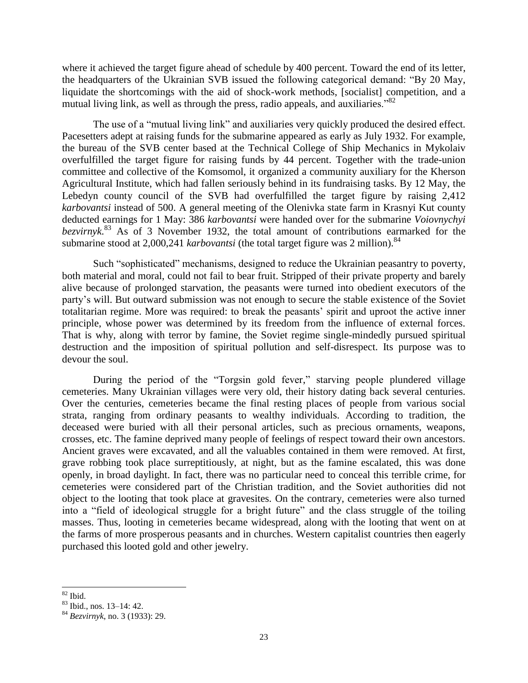where it achieved the target figure ahead of schedule by 400 percent. Toward the end of its letter, the headquarters of the Ukrainian SVB issued the following categorical demand: "By 20 May, liquidate the shortcomings with the aid of shock-work methods, [socialist] competition, and a mutual living link, as well as through the press, radio appeals, and auxiliaries.<sup>882</sup>

The use of a "mutual living link" and auxiliaries very quickly produced the desired effect. Pacesetters adept at raising funds for the submarine appeared as early as July 1932. For example, the bureau of the SVB center based at the Technical College of Ship Mechanics in Mykolaiv overfulfilled the target figure for raising funds by 44 percent. Together with the trade-union committee and collective of the Komsomol, it organized a community auxiliary for the Kherson Agricultural Institute, which had fallen seriously behind in its fundraising tasks. By 12 May, the Lebedyn county council of the SVB had overfulfilled the target figure by raising 2,412 *karbovantsi* instead of 500. A general meeting of the Olenivka state farm in Krasnyi Kut county deducted earnings for 1 May: 386 *karbovantsi* were handed over for the submarine *Voiovnychyi bezvirnyk*. <sup>83</sup> As of 3 November 1932, the total amount of contributions earmarked for the submarine stood at 2,000,241 *karbovantsi* (the total target figure was 2 million).<sup>84</sup>

Such "sophisticated" mechanisms, designed to reduce the Ukrainian peasantry to poverty, both material and moral, could not fail to bear fruit. Stripped of their private property and barely alive because of prolonged starvation, the peasants were turned into obedient executors of the party's will. But outward submission was not enough to secure the stable existence of the Soviet totalitarian regime. More was required: to break the peasants' spirit and uproot the active inner principle, whose power was determined by its freedom from the influence of external forces. That is why, along with terror by famine, the Soviet regime single-mindedly pursued spiritual destruction and the imposition of spiritual pollution and self-disrespect. Its purpose was to devour the soul.

During the period of the "Torgsin gold fever," starving people plundered village cemeteries. Many Ukrainian villages were very old, their history dating back several centuries. Over the centuries, cemeteries became the final resting places of people from various social strata, ranging from ordinary peasants to wealthy individuals. According to tradition, the deceased were buried with all their personal articles, such as precious ornaments, weapons, crosses, etc. The famine deprived many people of feelings of respect toward their own ancestors. Ancient graves were excavated, and all the valuables contained in them were removed. At first, grave robbing took place surreptitiously, at night, but as the famine escalated, this was done openly, in broad daylight. In fact, there was no particular need to conceal this terrible crime, for cemeteries were considered part of the Christian tradition, and the Soviet authorities did not object to the looting that took place at gravesites. On the contrary, cemeteries were also turned into a "field of ideological struggle for a bright future" and the class struggle of the toiling masses. Thus, looting in cemeteries became widespread, along with the looting that went on at the farms of more prosperous peasants and in churches. Western capitalist countries then eagerly purchased this looted gold and other jewelry.

l  $82$  Ibid.

<sup>83</sup> Ibid., nos. 13–14: 42.

<sup>84</sup> *Bezvirnyk*, no. 3 (1933): 29.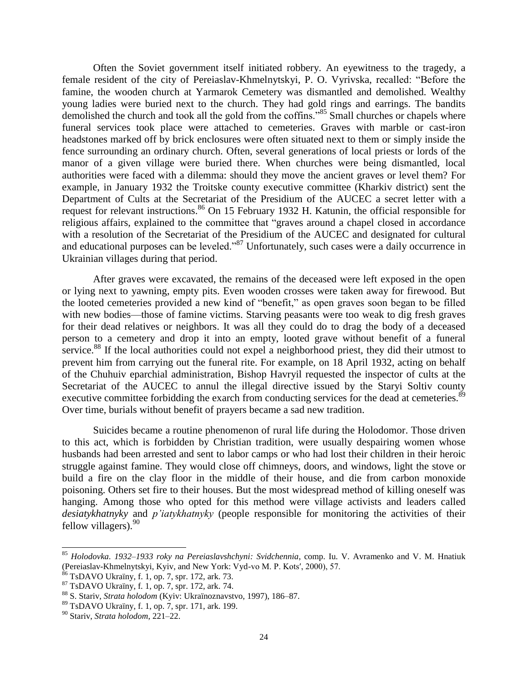Often the Soviet government itself initiated robbery. An eyewitness to the tragedy, a female resident of the city of Pereiaslav-Khmelnytskyi, P. O. Vyrivska, recalled: "Before the famine, the wooden church at Yarmarok Cemetery was dismantled and demolished. Wealthy young ladies were buried next to the church. They had gold rings and earrings. The bandits demolished the church and took all the gold from the coffins."<sup>85</sup> Small churches or chapels where funeral services took place were attached to cemeteries. Graves with marble or cast-iron headstones marked off by brick enclosures were often situated next to them or simply inside the fence surrounding an ordinary church. Often, several generations of local priests or lords of the manor of a given village were buried there. When churches were being dismantled, local authorities were faced with a dilemma: should they move the ancient graves or level them? For example, in January 1932 the Troitske county executive committee (Kharkiv district) sent the Department of Cults at the Secretariat of the Presidium of the AUCEC a secret letter with a request for relevant instructions.<sup>86</sup> On 15 February 1932 H. Katunin, the official responsible for religious affairs, explained to the committee that "graves around a chapel closed in accordance with a resolution of the Secretariat of the Presidium of the AUCEC and designated for cultural and educational purposes can be leveled."<sup>87</sup> Unfortunately, such cases were a daily occurrence in Ukrainian villages during that period.

After graves were excavated, the remains of the deceased were left exposed in the open or lying next to yawning, empty pits. Even wooden crosses were taken away for firewood. But the looted cemeteries provided a new kind of "benefit," as open graves soon began to be filled with new bodies—those of famine victims. Starving peasants were too weak to dig fresh graves for their dead relatives or neighbors. It was all they could do to drag the body of a deceased person to a cemetery and drop it into an empty, looted grave without benefit of a funeral service.<sup>88</sup> If the local authorities could not expel a neighborhood priest, they did their utmost to prevent him from carrying out the funeral rite. For example, on 18 April 1932, acting on behalf of the Chuhuiv eparchial administration, Bishop Havryil requested the inspector of cults at the Secretariat of the AUCEC to annul the illegal directive issued by the Staryi Soltiv county executive committee forbidding the exarch from conducting services for the dead at cemeteries.<sup>89</sup> Over time, burials without benefit of prayers became a sad new tradition.

Suicides became a routine phenomenon of rural life during the Holodomor. Those driven to this act, which is forbidden by Christian tradition, were usually despairing women whose husbands had been arrested and sent to labor camps or who had lost their children in their heroic struggle against famine. They would close off chimneys, doors, and windows, light the stove or build a fire on the clay floor in the middle of their house, and die from carbon monoxide poisoning. Others set fire to their houses. But the most widespread method of killing oneself was hanging. Among those who opted for this method were village activists and leaders called *desiatykhatnyky* and *p'iatykhatnyky* (people responsible for monitoring the activities of their fellow villagers). 90

<sup>85</sup> *Holodovka. 1932–1933 roky na Pereiaslavshchyni: Svidchennia*, comp. Iu. V. Avramenko and V. M. Hnatiuk (Pereiaslav-Khmelnytskyi, Kyiv, and New York: Vyd-vo M. P. Kots′, 2000), 57.

<sup>86</sup> TsDAVO Ukraïny, f. 1, op. 7, spr. 172, ark. 73.

<sup>87</sup> TsDAVO Ukraïny, f. 1, op. 7, spr. 172, ark. 74.

<sup>88</sup> S. Stariv, *Strata holodom* (Kyiv: Ukraïnoznavstvo, 1997), 186–87.

<sup>89</sup> TsDAVO Ukraïny, f. 1, op. 7, spr. 171, ark. 199.

<sup>90</sup> Stariv, *Strata holodom*, 221–22.